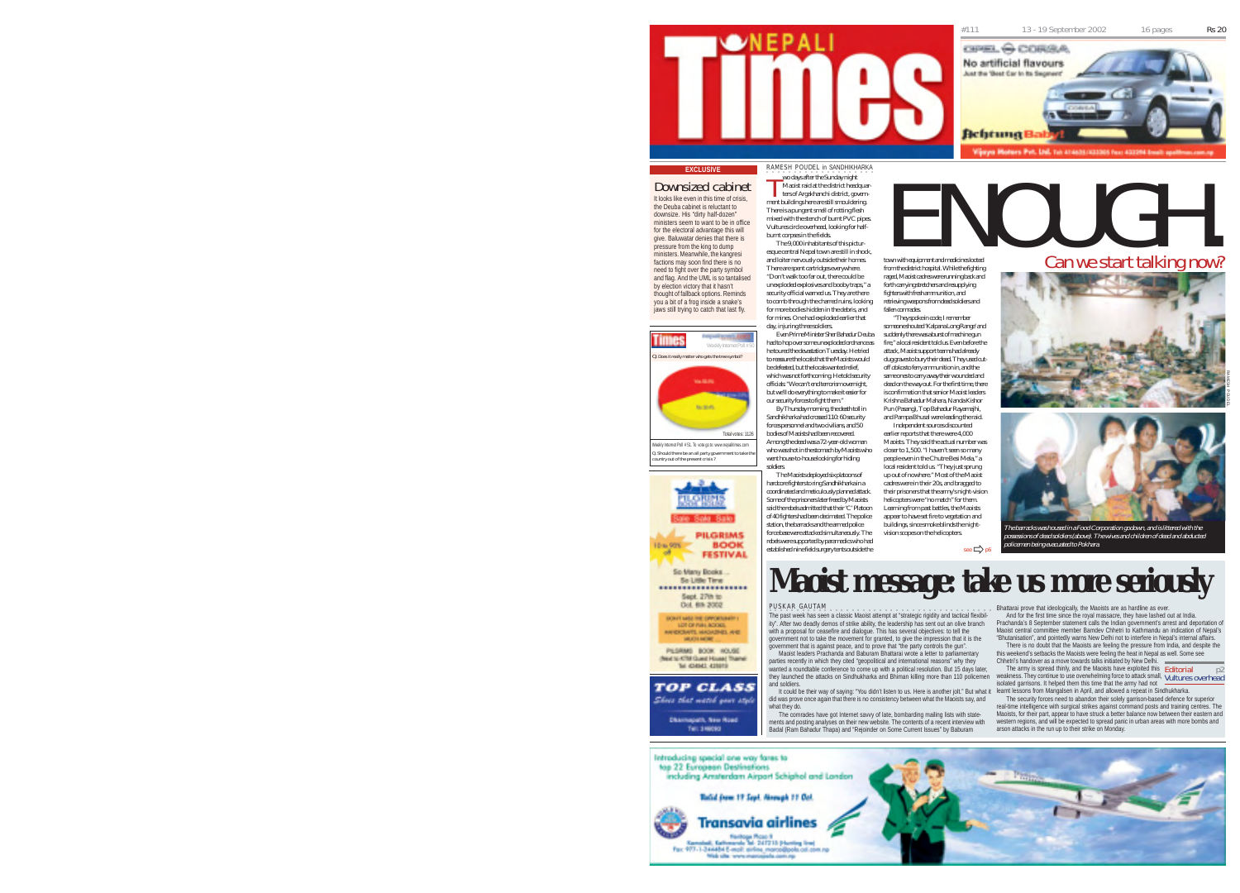

### RAMESH POUDEL in SANDHIKHARKA T

soldiers.

Downsized cabinet It looks like even in this time of crisis, the Deuba cabinet is reluctant to downsize. His "dirty half-dozen" ministers seem to want to be in office for the electoral advantage this will give. Baluwatar denies that there is pressure from the king to dump ministers. Meanwhile, the kangresi factions may soon find there is no need to fight over the party symbol and flag. And the UML is so tantalised by election victory that it hasn't thought of fallback options. Reminds you a bit of a frog inside a snake's



Should there be an all party government country out of the present crisis ? Weekly Internet Poll # 51. To vote go to: www.nepalitimes.com

a. **LORUM Color Sta PILGRIMS** Thus one. **BOOK FESTIVAL** 

................... Sept. 27th to Dol. 6th 2002 DON'T MAS THE OPPORTUNITY **NOT OF PAIN ACCOUNT** *MEETING MONTHS AVE* 

THE AZHAREL AZHAYA **TOP CLASS** 

Show that watch your stule **Hazart, New Hoad** Tel: 146063

**EXCLUSIVE**<br> **EXCLUSIVE ENOUGH.** The Southern Sandary right<br> **EXCLUSIVE ENOUGHARIZED ENOUGHARIZED ENOUGHARIZED ENOUGHARIZED ENOUGHARIZED ENOUGHARIZED ENOUGHARIZED EN SURPLUSIVE TRANSPORT OF THE SUPPRIMENT CONTROLLED THE SU T** wo days after the Sunday night Maoist raid at the district headquarters of Argakhanchi district, government buildings here are still smouldering. There is a pungent smell of rotting flesh mixed with the stench of burnt PVC pipes. Vultures circle overhead, looking for halfburnt corpses in the fields.

The 9,000 inhabitants of this picturesque central Nepal town are still in shock, and loiter nervously outside their homes. There are spent cartridges everywhere. "Don't walk too far out, there could be unexploded explosives and booby traps," a security official warned us. They are there to comb through the charred ruins, looking for more bodies hidden in the debris, and for mines. One had exploded earlier that fallen comrades.

day, injuring three soldiers. Even Prime Minister Sher Bahadur Deuba suddenly there was a burst of machine gun had to hop over some unexploded ordnance as he toured the devastation Tuesday. He tried to reassure the locals that the Maoists would be defeated, but the locals wanted relief, which was not forthcoming. He told security officials: "We can't end terrorism overnight, but we'll do everything to make it easier for our security forces to fight them." By Thursday morning, the death toll in Sandhikharka had crossed 110: 60 security forces personnel and two civilians, and 50

bodies of Maoists had been recovered. Among the dead was a 72-year-old woman who was shot in the stomach by Maoists who went house-to-house looking for hiding

The Maoists deployed six platoons of hardcore fighters to ring Sandhikharka in a coordinated and meticulously planned attack. Some of the prisoners later freed by Maoists said the rebels admitted that their 'C' Platoon of 40 fighters had been decimated. The police station, the barracks and the armed police force base were attacked simultaneously. The rebels were supported by paramedics who had established nine field surgery tents outside the

town with equipment and medicines looted from the district hospital. While the fighting raged, Maoist cadres were running back and forth carrying stretchers and resupplying fighters with fresh ammunition, and retrieving weapons from dead soldiers and

"They spoke in code, I remember someone shouted 'Kalpana Long Range' and fire," a local resident told us. Even before the attack, Maoist support teams had already dug graves to bury their dead. They used cutoff dokos to ferry ammunition in, and the same ones to carry away their wounded and dead on the way out. For the first time, there is confirmation that senior Maoist leaders Krishna Bahadur Mahara, Nanda Kishor Pun (Pasang), Top Bahadur Rayamajhi, and Pampa Bhusal were leading the raid. Independent sources discounted

earlier reports that there were 4,000 Maoists. They said the actual number was closer to 1,500. "I haven't seen so many people even in the Chutre Besi Mela," a local resident told us. "They just sprung up out of nowhere." Most of the Maoist cadres were in their 20s, and bragged to their prisoners that the army's night-vision helicopters were "no match" for them. Learning from past battles, the Maoists appear to have set fire to vegetation and buildings, since smoke blinds the nightvision scopes on the helicopters.  $\mathsf{see} \Rightarrow \mathsf{p6}$ 





The barracks was housed in a Food Corporation godown, and is littered with the possessions of dead soldiers (above). The wives and children of dead and abducted proformation police by proformation of the control of the police of the control of the control of the control o

### **Maoist message: take us more seriously**

PUSKAR GAUTAM -<br>The past week has seen a classic Maoist attempt at "strategic rigidity and tactical flexibility". After two deadly demos of strike ability, the leadership has sent out an olive branch with a proposal for ceasefire and dialogue. This has several objectives: to tell the<br>government not to take the movement for granted, to give the impression that it is the<br>government that is against peace, and to prove tha

Maoist leaders Prachanda and Baburam Bhattarai wrote a letter to parliamentary parties recently in which they cited "geopolitical and international reasons" why they wanted a roundtable conference to come up with a political resolution. But 15 days later they launched the attacks on Sindhukharka and Bhiman killing more than 110 policemen and soldiers.

lt could be their way of saying: "You didn't listen to us. Here is another jolt." But what it earnt lessons from Mangalsen in April, and allowed a repeat in Sindhukharka.<br>did was prove once again that there is no consisten what they do.

The comrades have got Internet savvy of late, bombarding mailing lists with statements and posting analyses on their new website. The contents of a recent interview with Badal (Ram Bahadur Thapa) and "Rejoinder on Some Current Issues" by Baburam

Bhattarai prove that ideologically, the Maoists are as hardline as ever. And for the first time since the royal massacre, they have lashed out at India. Prachanda's 8 September statement calls the Indian government's arrest and deportation of

Maoist central committee member Bamdev Chhetri to Kathmandu an indication of Nepal's "Bhutanisation", and pointedly warns New Delhi not to interfere in Nepal's internal affairs. There is no doubt that the Maoists are feeling the pressure from India, and despite the this weekend's setbacks the Maoists were feeling the heat in Nepal as well. Some see

Chhetri's handover as a move towards talks initiated by New Delhi. The army is spread thinly, and the Maoists have exploited this Editorial p2<br>weakness. They continue to use overwhelming force to attack small, Vultures overhead isolated garrisons. It helped them this time that the army had not

real-time intelligence with surgical strikes against command posts and training centres. The Maoists, for their part, appear to have struck a better balance now between their eastern and western regions, and will be expected to spread panic in urban areas with more bombs and arson attacks in the run up to their strike on Monday.



iaws still trying to catch that last fly.

Total votes: 1126

So Many Books So Little Time

PESRMS BOOK HOUSE (Next to KTM Quest House) Thamel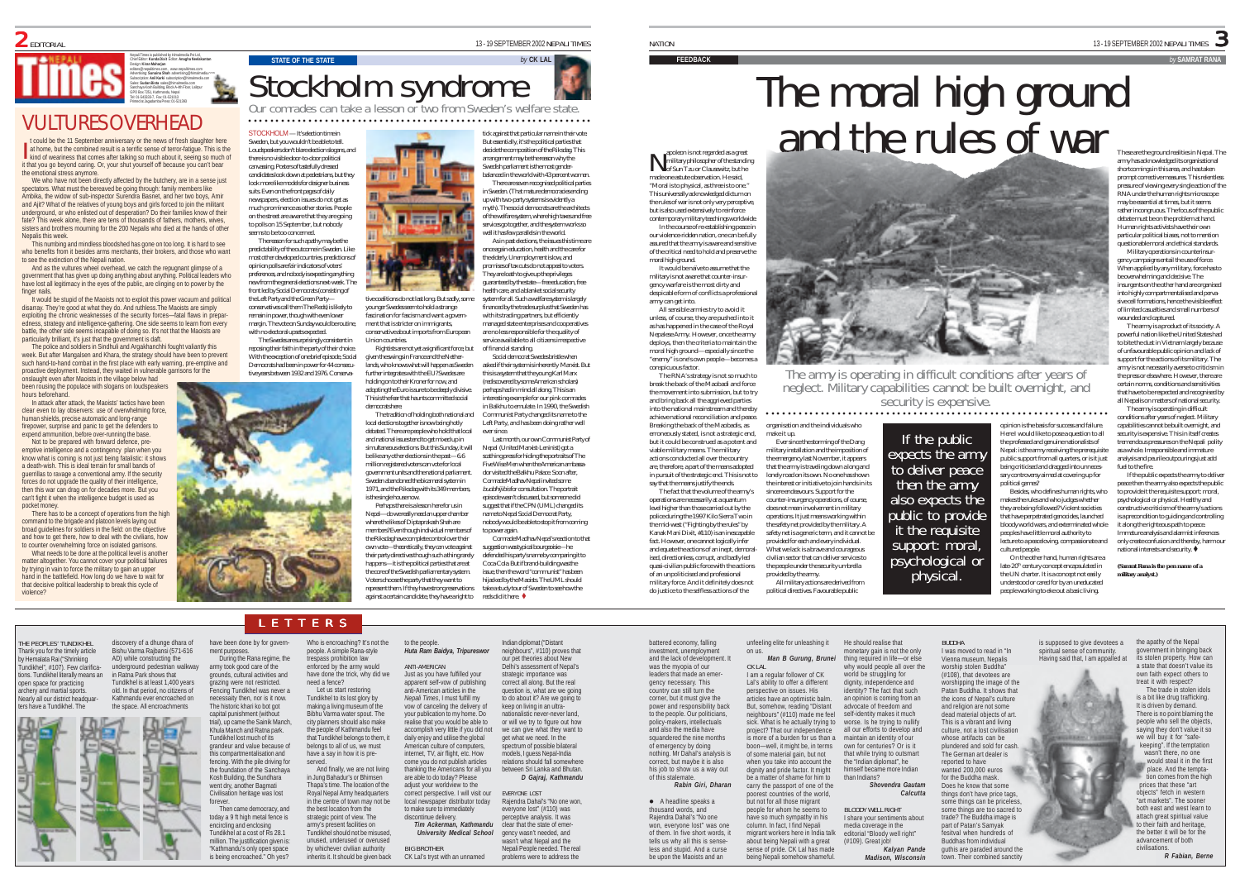Nepali Times is published by Himalmedia Pvt Ltd, Chief Editor: **Kunda Dixit** Editor: **Anagha Neelakantan** Design: **Kiran Maharjan** editors@nepalitimes.com, www.nepalitimes.com Advertising: **Sunaina Shah** advertising@himalmedia.com Subscription: **Anil Karki** subscription@himalmedia.com Sales: **Sudan Bista** sales@himalmedia.com Sanchaya Kosh Building, Block A-4th Floor, Lalitpur GPO Box 7251, Kathmandu, Nepal Tel: 01-543333-7, Fax: 01-521013 Printed at Jagadamba Press: 01-521393

### VULTURES OVERHEAD

**I** t could be the 11 September anniversary or the news of fresh slaughter here at home, but the combined result is a terrific sense of terror-fatigue. This is the t could be the 11 September anniversary or the news of fresh slaughter here<br>at home, but the combined result is a terrific sense of terror-fatigue. This is the<br>independent of two much of weariness that comes after talking it that you go beyond caring. Or, your shut yourself off because you can't bear the emotional stress anymore.

We who have not been directly affected by the butchery, are in a sense just spectators. What must the bereaved be going through: family members like Ambika, the widow of sub-inspector Surendra Basnet, and her two boys, Amir and Ajit? What of the relatives of young boys and girls forced to join the militant underground, or who enlisted out of desperation? Do their families know of their fate? This week alone, there are tens of thousands of fathers, mothers, wives, sisters and brothers mourning for the 200 Nepalis who died at the hands of other Nepalis this week

This numbing and mindless bloodshed has gone on too long. It is hard to see who benefits from it besides arms merchants, their brokers, and those who want to see the extinction of the Nepali nation.

And as the vultures wheel overhead, we catch the repugnant glimpse of a government that has given up doing anything about anything. Political leaders who have lost all legitimacy in the eyes of the public, are clinging on to power by the finger nails.

It would be stupid of the Maoists not to exploit this power vacuum and political disarray. They're good at what they do. And ruthless.The Maoists are simply exploiting the chronic weaknesses of the security forces—fatal flaws in preparedness, strategy and intelligence-gathering. One side seems to learn from every battle, the other side seems incapable of doing so. It's not that the Maoists are particularly brilliant, it's just that the government is daft.

The police and soldiers in Sindhuli and Argakhanchhi fought valiantly this week. But after Mangalsen and Khara, the strategy should have been to prevent such hand-to-hand combat in the first place with early warning, pre-emptive and proactive deployment. Instead, they waited in vulnerable garrisons for the

onslaught even after Maoists in the village below had been rousing the populace with slogans on loudspeakers hours beforehand.

In attack after attack, the Maoists' tactics have been clear even to lay observers: use of overwhelming force, human shields, precise automatic and long-range firepower, surprise and panic to get the defenders to expend ammunition, before over-running the base. Not to be prepared with forward defence, pre-

emptive intelligence and a contingency plan when you know what is coming is not just being fatalistic: it shows a death-wish. This is ideal terrain for small bands of guerrillas to ravage a conventional army. If the security forces do not upgrade the quality of their intelligence, then this war can drag on for decades more. But you can't fight it when the intelligence budget is used as pocket money

There has to be a concept of operations from the high command to the brigade and platoon levels laying out broad guidelines for soldiers in the field: on the objective and how to get there, how to deal with the civilians, how to counter overwhelming force on isolated garrisons.

What needs to be done at the political level is another matter altogether. You cannot cover your political failures by trying in vain to force the military to gain an upper hand in the battlefield. How long do we have to wait for that decisive political leadership to break this cycle of violence?

by Hemalata Rai ("Shrinking

open space for practicing archery and martial sports. learly all our district head ters have a Tundikhel. The







tive coalitions do not last long. But sadly, some younger Swedes seem to hold a strange fascination for fascism and want a govern ment that is stricter on immigrants, conservative about imports from European Union countries.

Rightists are not yet a significant force, but given the swings in France and the Nether lands, who knows what will happen as Sweden further integrates with the EU? Swedes are holding on to their Kroner for now, and adopting the Euro is sure to be deeply divisive. This is the fear that haunts committed social democrats here.

The tradition of holding both national and local elections together is now being hotly debated. There are people who hold that local and national issues tend to get mixed up in simultaneous elections. But this Sunday, it will be like any other elections in the past—6.6 million registered voters can vote for local government units and the national parliament. Sweden abandoned the bicameral system in 1971, and the Riksdag with its 349 members is the single house now.

Perhaps there is a lesson here for us in Nepal—do we really need an upper chamber where the likes of Diptaprakash Shah are members? Even though individual members of the Riksdag have complete control over their own vote—theoretically, they can vote against their party directives though such a thing rarely happens—it is the political parties that are at the core of the Swedish parliamentary system. Voters choose the party that they want to represent them. If they have strong reservations against a certain candidate, they have a right to

to the people.

BIG BROTHER

of financial standing.

ever since.

suggest that if the CPN (UML) changed its name to Nepal Social Democrat Party, nobody would be able to stop it from coming to power again. Comrade Madhav Nepal's reaction to that suggestion was typical bourgeoisie—he defended his party's name by comparing it to Coca-Cola. But if brand-building was the issue, then the word "communist" has been hijacked by the Maoists. The UML should



○○○○○○○○ ○○○○○○○○○○○○○○○○○○○○○○○○○○○○○○○○○○○○○○○○○○○○○○○○○○○○○○○

tick against that particular name in their vote. But essentially, it's the political parties that decide the composition of the Riksdag. This arrangement may be the reason why the Swedish parliament is the most genderbalanced in the world with 43 percent women. There are seven recognised political parties in Sweden. (That mature democracies ending up with two-party systems is evidently a myth). The social democrats are the architects

of the welfare system, where high taxes and free services go together, and the system works so well it has few parallels in the world. As in past elections, the issues this time are nce again education, health and the care for the elderly. Unemployment is low, and

promises of tax cuts do not appeal to voters. They are loath to give up the privileges guaranteed by the state—free education, free health care, and a blanket social security

system for all. Such a welfare system is largely financed by the trade surplus that Sweden has with its trading partners, but efficiently managed state enterprises and cooperative are no less responsible for the quality of service available to all citizens irrespective

Social democrat Swedes bristle when asked if their system is inherently Marxist. But this is a system that the young Karl Marx (rediscovered by some American scholars) perhaps had in mind all along. This is an esting example for our pink comrades in Balkhu to emulate. In 1990, the Swedish Communist Party changed its name to the

Left Party, and has been doing rather well Last month, our own Communist Party of Nepal (United Marxist-Leninist) got a scathing press for hiding the portraits of The Five Wise Men when the American ambassa dor visited the Balkhu Palace. Soon after, Comrade Madhav Nepal invited some buddhijibis for consultation. The portrait

episode wasn't discussed, but someone did

take a study tour of Sweden to see how the reds did it here.

Indian diplomat ("Distant

The RNA's strategy is not so much to break the back of the Maobadi and force the movement into submission, but to try and bring back all the aggrieved parties into the national mainstream and thereby achieve national reconciliation and peace. Breaking the back of the Maobadis, as erroneously stated, is not a strategic end, but it could be construed as a potent and viable military means. The military actions conducted all over the country are, therefore, a part of the means adopted say that the means justify the ends. The fact that the volume of the army's operations are necessarily at a quantum level higher than those carried out by the

the mid-west ("Fighting by the rules" by Kanak Mani Dixit, #110) is an inescapable fact. However, one cannot logically infer and equate the actions of an inept, demoralised, directionless, corrupt, and badly led quasi-civilian public force with the actions of an unpoliticised and professional military force. And it definitely does not do justice to the selfless actions of the

battered economy, falling

"Moral is to physical, as three is to one." This universally acknowledged dictum on the rules of war is not only very perceptive, but is also used extensively to reinforce contemporary military teachings worldwide. In the course of re-establishing peace in our violence-ridden nation, one can be fully assured that the army is aware and sensitive of the critical need to hold and preserve the moral high ground. It would be naïve to assume that the

make it up.

All military actions are derived from

military is not aware that counter-insurgency warfare is the most dirty and despicable form of conflicts a professional army can get into. All sensible armies try to avoid it

apoleon is not regarded as a great<br>military philosopher of the standing apoleon is not regarded as a great<br>military philosopher of the standing<br>of Sun Tzu or Clausewitz, but he made one astute observation. He said,

unless, of course, they are pushed into it as has happened in the case of the Royal Nepalese Army. However, once the army deploys, then the criteria to maintain the moral high ground—especially since the "enemy" is one's own people—becomes a conspicuous factor.

in pursuit of the strategic end. This is not to police during the 1997 Kilo Sierra Two in

provided by the army. political directives. Favourable public

The moral high ground and the rules of war

The army is operating in difficult conditions after years of neglect. Military capabilities cannot be built overnight, and security is expensive. ○○○○○○○○ ○○○○○○○○○○○○○○○○○○○○○○○○○○○○○○○○○○○○○○○○○○○○○○○○○○○○○○○

BUDDHA

organisation and the individuals who

Ever since the storming of the Dang military installation and the imposition of the emergency last November, it appears that the army is traveling down a long and lonely road on its own. No one has shown the interest or initiative to join hands in its sincere endeavours. Support for the counter-insurgency operations, of course, does not mean involvement in military operations. It just means working within the safety net provided by the military. A safety net is a generic term, and it cannot be provided for each and every individual. What we lack is a brave and courageous civilian sector that can deliver services to the people under the security umbrella If the public<br>expects the army<br>to deliver peace<br>then the army<br>public to provide<br>it the requisite<br>support: moral, psychological or<br>physical.

opinion is the basis for success and failure. Here I would like to pose a question to all the professed and genuine nationalists of Nepal: is the army receiving the prerequisite public support from all quarters, or is it just being criticised and dragged into unnecessary controversy aimed at covering up for political games? Besides, who defines human rights, who

makes the rules and who judges whether they are being followed? Violent societies that have perpetrated genocides, launched bloody world wars, and exterminated whole peoples have little moral authority to lecture to a peaceloving, compassionate and cultured people.

On the other hand, human rights are a late-20<sup>th</sup> century concept encapsulated in the UN charter. It is a concept not easily understood or cared for by an uneducated people working to eke out a basic living.

LETTERS

preferences, and nobody is expecting anything new from the general elections next-week. The front led by Social Democrats (consisting of the Left Party and the Green Party conservatives call them The Reds) is likely to remain in power, though with even lowe margin. The vote on Sunday would be routine,

THE PEOPLES' TUNDIKHEL discovery of a dhunge dhara of have been done by for govern-Thank you for the timely article Bishu Varma Rajbansi (571-616 ment purposes. AD) while constructing the During the Rana regime, the army took good care of the Tundikhel", #107). Few clarificaunderground pedestrian walkway ions. Tundikhel literally means an in Ratna Park shows that grounds, cultural activities and Tundikhel is at least 1,400 years old. In that period, no citizens of Kathmandu ever encroached on the space. All encroachments σn



Tundikhel at a cost of Rs 28.1 million. The justification given is: "Kathmandu's only open space is being encroached." Oh yes?

**Huta Ram Baidya, Tripureswo** ANTI-AMERICAN Just as you have fulfilled your apparent self-vow of publishing anti-American articles in the *Nepali Times*, I must fulfill my vow of canceling the delivery of your publication to my home. Do realise that you would be able to accomplish very little if you did not daily enjoy and utilise the global American culture of computers, internet, TV, air flight, etc. How come you do not publish articles thanking the Americans for all you are able to do today? Please adjust your worldview to the correct perspective. I will visit our local newspaper distributor today to make sure to immediately discontinue delivery. people. A simple Rana-style trespass prohibition law enforced by the army would have done the trick, why did we need a fence? Let us start restoring Tundikhel to its lost glory by making a living museum of the Bibhu Varma water spout. The city planners should also make the people of Kathmandu feel that Tundikhel belongs to them, it belongs to all of us, we must have a say in how it is preserved. And finally, we are not living in Jung Bahadur's or Bhimsen hapa's time. The location of the Royal Nepal Army headquarters in the centre of town may not be the best location from the strategic point of view. The army's present facilities on Tundikhel should not be misused, unused, underused or overused

Who is encroaching? It's not the

by whichever civilian authority inherits it. It should be given back

*Tim Ackerman, Kathmandu University Medical School* CK Lal's tryst with an unnamed neighbours", #110) proves that our pet theories about New Delhi's assessment of Nepal's strategic importance was correct all along. But the real question is, what are we going o do about it? Are we going to keep on living in an ultranationalistic never-never land, or will we try to figure out how we can give what they want to get what we need. In the spectrum of possible bilateral models, I guess Nepal-India relations should fall somewhere between Sri Lanka and Bhutan. *D Gajraj, Kathmandu* EVERYONE LOST Rajendra Dahal's "No one won, everyone lost" (#110) was perceptive analysis. It was clear that the state of emergency wasn't needed, and wasn't what Nepal and the Nepali People needed. The real problems were to address the

investment, unemployment and the lack of development. It was the myopia of our leaders that made an emergency necessary. This country can still turn the corner, but it must give the power and responsibility back to the people. Our politicians, policy-makers, intellectuals and also the media have squandered the nine months of emergency by doing nothing. Mr Dahal's analysis is correct, but maybe it is also his job to show us a way out of this stalemate.  *Rabin Giri, Dharan*  $\bullet$  A headline speaks a thousand words, and Rajendra Dahal's "No one won, everyone lost" was one of them. In five short words, it tells us why all this is senseless and stupid. And a curse on us. CK LAL about being Nepali with a great sense of pride. CK Lal has made

be upon the Maoists and an

unfeeling elite for unleashing it *Man B Gurung, Brunei* I am a regular follower of CK Lal's ability to offer a different perspective on issues. His articles have an optimistic balm. But, somehow, reading "Distant neighbours" (#110) made me feel sick. What is he actually trying to project? That our independence is more of a burden for us than a boon—well, it might be, in terms of some material gain, but not when you take into account the dignity and pride factor. It might be a matter of shame for him to carry the passport of one of the poorest countries of the world, but not for all those migrant people for whom he seems to have so much sympathy in his column. In fact, I find Nepali migrant workers here in India talk He should realise that monetary gain is not the only thing required in life—or else why would people all over the world be struggling for dignity, independence and identity? The fact that such an opinion is coming from an advocate of freedom and self-identity makes it much worse. Is he trying to nullify all our efforts to develop and maintain an identity of our own for centuries? Or is it that while trying to outsman the "Indian diplomat", he himself became more Indian than Indians? *Shovendra Gautam Calcutta* BLOODY WELL RIGHT media coverage in the

being Nepali somehow shameful. I share your sentiments about editorial "Bloody well right" (#109). Great job! *Kalyan Pande Madison, Wisconsin* I was moved to read in "In Vienna museum, Nepalis worship stolen Buddha (#108), that devotees are worshipping the image of the Patan Buddha. It shows that the icons of Nepal's culture and religion are not some dead material objects of art. This is a vibrant and living culture, not a lost civilisation whose artifacts can be plundered and sold for cash. The German art dealer is reported to have wanted 200,000 euros

for the Buddha mask. Does he know that some things don't have price tags, some things can be priceless some things are too sacred to trade? The Buddha image is part of Patan's Samyak fesitval when hundreds of Buddhas from individual guthis are paraded around the

town. Their combined sanctity

is supposed to give devotees a spiritual sense of community. Having said that, I am appalled at the apathy of the Nepal government in bringing back its stolen property. How can



the better it will be for the

The trade in stolen idols is a bit like drug trafficking. It is driven by demand. There is no point blaming the people who sell the objects, saying they don't value it so we will buy it for "safekeeping". If the temptation wasn't there, no one would steal it in the first place. And the temptation comes from the high prices that these "art objects" fetch in western "art markets". The sooner both east and west learn to attach great spiritual value to their faith and heritage,

> advancement of both civilisations.

 $R$  Fabian, Berne

### analysis and peurile outpourings just add fuel to the fire. If the public expects the army to delive peace then the army also expects the public

to provide it the requisite support: moral psychological or physical. Healthy and constructive criticism of the army's action is a precondition to guiding and controlling it along the righteous path to peace. Immature analysis and alarmist inferences

only create confusion and thereby, harm our national interests and security.  $\blacklozenge$ 

*(Samrat Rana is the pen name of a military analyst.)*

Human rights activists have their own particular political biases, not to mention questionable moral and ethical standards. Military operations in counterinsurgency campaigns entail the use of force. When applied by any military, force has to be overwhelming and decisive. The insurgents on the other hand are organised into highly compartmentalised and pervasive cell formations, hence the visible effect of limited casualties and small numbers of wounded and captured.

These are the ground realities in Nepal. The army has acknowledged its organisational shortcomings in this area, and has taken prompt corrective measures. This relentless

RNA under the human rights microscope rather incongruous. The focus of the public

The army is a product of its society. A powerful nation like the United States had to bite the dust in Vietnam largely because of unfavourable public opinion and lack of

support for the actions of its military. The army is not necessarily averse to criticism in the press or elsewhere. However, there are certain norms, conditions and sensitivities that have to be respected and recognised by all Nepalis on matters of national security.

The army is operating in difficult conditions after years of neglect. Military capabilities cannot be built overnight, and security is expensive. This in itself creates tremendous pressures on the Nepali polity as a whole. Irresponsible and immature

may be essential at times, but it seems

pressure of viewing every single action of the

debate must be on the problem at hand.

**FEEDBACK** *by* **SAMRAT RANA**

### 13-19 SEPTEMBER 2002 NEPALI TIMES NATION NATION NATION NATION

### Stockholm syndrome **STATE OF THE STATE by** CK LAL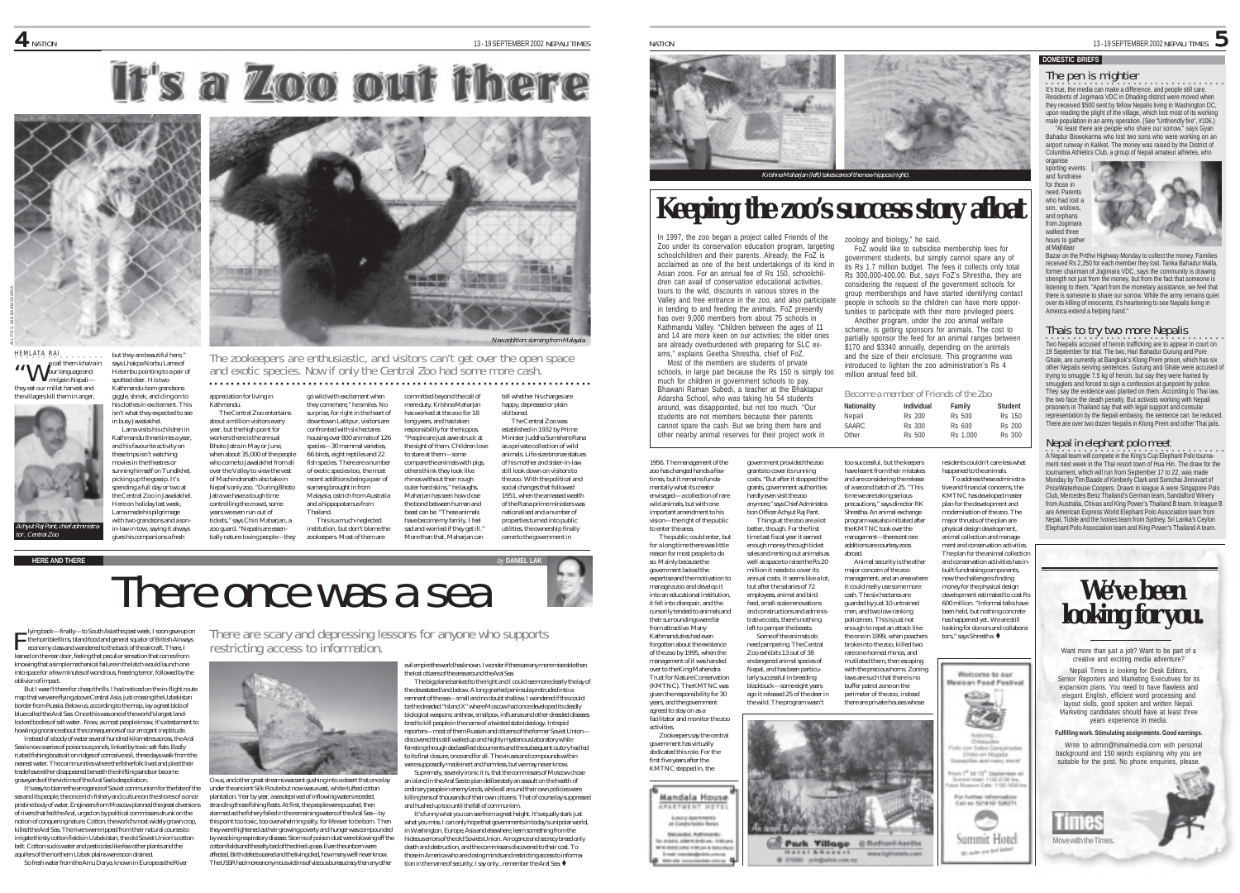## It's a Zoo out there



he, sin ca, and emig on to isn't what they expected to see in busy Jawalakhel. Lama visits his children in Kathmandu three times a year, and his favourite activity on

movies in the theatres or sunning himself on Tundikhel, picking up the gossip. It's spending a full day or two at the Central Zoo in Jawalakhel. Here on holiday last week,

with two grandsons and a son-

gives his companions a fresh

they eat our millet harvest and the villagers kill them in anger but they are beautiful here. says Lhakna Norbu Lama of Helambu pointing to a pair of spotted deer. His two Kathmandu-born grandsons giggle, shriek, and cling on to "We call them khaira in<br>"We our language and mriga in Nepali-





**HEMLATA RAL**<br> **MAL** call them kharian systems and the grand of the zookeepers are enthusiastic, and visitors can't get over the open space<br> **MAL** carlianguage and **Helambu continue to a sair of** and exotic species. Now i

### ○○○○○○○○○○○○○○○○○○○○○○○ ○○○○○○○○○○○○○○○○○○○○○○○○○○○○○○○○○○○○○○○○○○○○○○○

There are scary and depressing lessons for anyone who supports restricting access to information.

appreciation for living in Kathmandu. The Central Zoo entertains about a million visitors every year, but the high point for workers there is the annual Bhoto Jatra in May or June, when about 35,000 of the people who come to Jawalakhel from all over the Valley to view the vest of Machindranath also take in Nepal's only zoo. "During Bhoto Jatra we have a tough time controlling the crowd, some years we even run out of tickets," says Chiri Maharjan, a zoo guard. "Nepalis are essentially nature-loving people—they go wild with excitement when they come here," he smiles. No surprise, for right in the heart of downtown Lalitpur, visitors are confronted with six hectares housing over 800 animals of 126 species-30 mammal varieties. 66 birds, eight reptiles and 22 fish species. There are a number of exotic species too, the most recent additions being a pair of siamang brought in from Malaysia, ostrich from Australia and a hippopotamus from Thailand. This is a much-neglected institution, but don't blame the zookeepers. Most of them are

committed beyond the call of mere duty. Krishna Maharjan has worked at the zoo for 18 long years, and has taken responsibility for the hippos. "People are just awe-struck at the sight of them. Children love to stare at them—some compare the animals with pigs others think they look like rhinos without their rough outer hard skins, " he laughs Maharjan has seen how close the bond between human and beast can be. "These animals have become my family. I feel sad and worried if they get ill. More than that, Maharjan can

tell whether his charges are happy, depressed or plain old bored. The Central Zoo was established in 1932 by Prime Minister Juddha Sumshere Rana as a private collection of wild animals. Life-size bronze statues of his mother and sister-in-law still look down on visitors to the zoo. With the political and social changes that followed 1951, when the amassed wealth of the Rana prime ministers was nationalised and a number of properties turned into public utilities, the ownership finally came to the government in



lying back—finally—to South Asia this past week, I soon gave up on economy class and wandered to the back of the aircraft. There, I leaned on the rear door, feeling that peculiar sensation that comes from knowing that a simple mechanical failure in the latch would launch one into space for a few minutes of wondrous, freezing terror, followed by the oblivion of impact.

But I wasn't there for cheap thrills. I had noticed on the in-flight route map that we were flying above Central Asia, just crossing the Uzbekistan border from Russia. Below us, according to the map, lay a great blob of blue called the Aral Sea. Once this was one of the world's largest landlocked bodies of salt water. Now, as most people know, it's a testament to howling ignorance about the consequences of our arrogant ineptitude.

Instead of a body of water several hundred kilometres across, the Aral Sea is now a series of poisonous ponds, linked by toxic salt flats. Badly rusted fishing boats sit on ridges of corrosive soil, three days walk from the nearest water. The communities where the fisherfolk lived and plied their trade have either disappeared beneath the shifting sands or become graveyards of the victims of the Aral Sea's despoliation.

It's easy to blame the arrogance of Soviet communism for the fate of the sea and its people, the once rich fishery and culture on the shores of a once pristine body of water. Engineers from Moscow planned the great diversions of rivers that fed the Aral, urged on by political commissars drunk on the notion of conquering nature. Cotton, the world's most widely grown crop, killed the Aral Sea. The rivers were ripped from their natural courses to irrigate thirsty cotton fields in Uzbekistan, the old Soviet Union's cotton belt. Cotton sucks water and pesticides like few other plants and the aquifers of the northern Uzbek plains were soon drained.

So fresh water from the Amu Darya, known in Europe as the River

Oxus, and other great streams was sent gushing into a desert that once lay under the ancient Silk Route but now was a vast, white-tufted cotton plantation. Year by year, a sea deprived of inflowing waters receded, stranding those fishing fleets. At first, the people were puzzled, then alarmed as the fishery failed in the remaining waters of the Aral Sea—by this point too toxic, too overwhelming salty, for life ever to be born. Then they were frightened as their growing poverty and hunger was compounded by wracking respiratory disease. Storms of poison dust were blowing off the cotton fields and the salty bed of the dried up sea. Even the unborn were affected. Birth defects soared and the living died, how many we'll never know. The USSR had more anonymous victims of viscous bureaucracy than any other

evil empire the world has known. I wonder if there are any more miserable than

the lost citizens of the area around the Aral Sea. The big plane banked to the right and I could see more clearly the lay of the devastated land below. A long gnarled peninsula protruded into a remnant of the sea—small and no doubt shallow. I wondered if this could be the dreaded "Island X" where Moscow had once developed its deadly biological weapons: anthrax, smallpox, influenza and other dreaded diseases bred to kill people in the name of a twisted state ideology. Intrepid reporters—most of them Russian and citizens of the former Soviet Union discovered this still walled up and highly mysterious laboratory while ferreting through declassified documents and the subsequent outcry had led to its final closure, once and for all. The viruses and compounds within were supposedly made inert and harmless, but we may never know.

Supremely, severely ironic it is, that the commissars of Moscow chose an island in the Aral Sea to plan deliberately an assault on the health of

ordinary people in enemy lands, while all around their own policies were killing tens of thousands of their own citizens. That of course lay suppressed and hushed up too until the fall of communism.

It's funny what you can see from a great height. It's equally stark just what you miss. I can only hope that governments in today's unipolar world, in Washington, Europe, Asia and elsewhere, learn something from the hideous errors of the old Soviets Union. Arrogance and secrecy breed only death and destruction, and the commissars discovered to their cost. To those in America who are closing minds and restricting access to information in the name of security, I say only...remember the Aral Sea.  $\blacklozenge$ 



### **DOMESTIC BRIEFS**

### The pen is mightier

•<br>It's true, the media can make a difference, and people still care. Residents of Jogimara VDC in Dhading district were moved when they received \$500 sent by fellow Nepalis living in Washington DC, upon reading the plight of the village, which lost most of its working male population in an army operation. (See "Unfriendly fire", #106.)

"At least there are people who share our sorrow," says Gyan Bahadur Biswokarma who lost two sons who were working on an airport runway in Kalikot. The money was raised by the District of Columbia Athletics Club, a group of Nepali amateur athletes, who



Bazar on the Prithvi Highway Monday to collect the money. Familie received Rs 2,250 for each member they lost. Tanka Bahadur Malla, former chairman of Jogimara VDC, says the community is drawing strength not just from the money, but from the fact that someone is listening to them. "Apart from the monetary assistance, we feel that there is someone to share our sorrow. While the army remains quiet over its killing of innocents, it's heartening to see Nepalis living in America extend a helping hand."

### Thais to try two more Nepalis

•<br>Two Nepalis accused of heroin trafficking are to appear in court on 19 September for trial. The two, Hari Bahadur Gurung and Pore Ghale, are currently at Bangkok's Klong Prem prison, which has six other Nepalis serving sentences. Gurung and Ghale were accused of trying to smuggle 7.5 kg of heroin, but say they were framed by smugglers and forced to sign a confession at gunpoint by police. They say the evidence was planted on them. According to Thai law, they say the evidence was planted on them. According to that the two face the death penalty. But activists working with Nepali prisoners in Thailand say that with legal support and consular representation by the Nepali embassy, the sentence can be reduced. There are over two dozen Nepalis in Klong Prem and other Thai jails.

### Nepal in elephant polo meet

•<br>A Nepali team will compete in the King's Cup Elephant Polo tournament next week in the Thai resort town of Hua Hin. The draw for the tournament, which will run from September 17 to 22, was made Monday by Tim Baade of Kimberly Clark and Somchai Jinnovart of PriceWaterhouse Coopers. Drawn in league A were Singapore Polo Club, Mercedes Benz Thailand's German team, Sandalford Winery from Australia, Chivas and King Power's Thailand B team. In league B are American Express World Elephant Polo Association team from Nepal, Tickle and the Ivories team from Sydney, Sri Lanka's Ceylon Elephant Polo Association team and King Power's Thailand A team.



Want more than just a job? Want to be part of a creative and exciting media adventure?

Nepali Times is looking for Desk Editors, Senior Reporters and Marketing Executives for its expansion plans. You need to have flawless and elegant English, efficient word processing and layout skills, good spoken and written Nepali. Marketing candidates should have at least three years experience in media.

### **Fulfilling work. Stimulating assignments. Good earnings.**

Write to admin@himalmedia.com with personal background and 150 words explaining why you are suitable for the post. No phone enquiries, please



from attractive. Many Kathmanduties had even forgotten about the existence of the zoo by 1995, when the management of it was handed over to the King Mahendra Trust for Nature Conservation (KMTNC). The KMTNC was given the responsibility for 30 years, and the government agreed to stay on as a facilitator and monitor the zoo

1956. The management of the zoo has changed hands a few times, but it remains fundamentally what its creator envisaged—a collection of rare wild animals, but with one

In 1997, the zoo began a project called Friends of the Zoo under its conservation education program, targeting schoolchildren and their parents. Already, the FoZ is acclaimed as one of the best undertakings of its kind in Asian zoos. For an annual fee of Rs 150, schoolchildren can avail of conservation educational activities, tours to the wild, discounts in various stores in the Valley and free entrance in the zoo, and also participate in tending to and feeding the animals. FoZ presently has over 9,000 members from about 75 schools in Kathmandu Valley. "Children between the ages of 11 and 14 are more keen on our activities; the older ones are already overburdened with preparing for SLC exams," explains Geetha Shrestha, chief of FoZ. Most of the members are students of private schools, in large part because the Rs 150 is simply too much for children in government schools to pay. Bhawani Raman Subedi, a teacher at the Bhaktapur Adarsha School, who was taking his 54 students around, was disappointed, but not too much. "Our students are not members because their parents cannot spare the cash. But we bring them here and other nearby animal reserves for their project work in

> government provided the zoo grants to cover its running costs. "But after it stopped the grants, government authorities hardly even visit the zoo anymore," says Chief Administra-

**Keeping the zoo's success story afloat**

Inarjan (left) takes care of the new

Become a member of Friends of the Zoo **Nationality Individual Family Student** Nepali Rs 200 Rs 500 Rs 150 SAARC Rs 300 Rs 600 Rs 200 Other Rs 500 Rs 1,000 Rs 300

> residents couldn't care less what happened to the animals. To address these administrative and financial concerns, the KMTNC has developed master plan for the development and modernisation of the zoo. The major thrusts of the plan are physical design development,

> > Welcome to our **Hesisan Food Festival**

> > > **COLLAGE FRANK AN ARVIVAN** Part Pay ned Hutel 1130 2130 km.<br>Museum Calix 1130 1650

.<br>Call on Similar Information

Summit Hotel

to sale you led below

a

zoology and biology," he said.

million annual feed bill.

too successful, but the keepers have learnt from their mistakes and are considering the release of a second batch of 25. "This time we are taking serious precautions," says director RK Shrestha. An animal exchange program was also initiated after the KMTNC took over the management—the recent rare additions are courtesy zoos abroad.

Animal security is the other major concern of the zoo management, and an area when it could really use some more cash. The six hectares are guarded by just 10 untrained men, and two low-ranking policemen. This is just not enough to repel an attack like the one in 1999, when poachers broke into the zoo, killed two rare one-horned rhinos, and mutilated them, then escaping with the precious horns. Zoning laws are such that there is no buffer patrol zone on the perimeter of the zoo, instead there are private houses whose

Park Village @ Bultani Aucha

**Hotel A Resort** 

**W STEED ON** 

FoZ would like to subsidise membership fees for government students, but simply cannot spare any of its Rs 1.7 million budget. The fees it collects only total Rs 300,000-400,00. But, says FoZ's Shrestha, they are considering the request of the government schools for group memberships and have started identifying contact people in schools so the children can have more opportunities to participate with their more privileged peers. Another program, under the zoo animal welfare scheme, is getting sponsors for animals. The cost to partially sponsor the feed for an animal ranges between \$170 and \$3340 annually, depending on the animals and the size of their enclosure. This programme was introduced to lighten the zoo administration's Rs 4

activities. government has virtually abdicated this role. For the first five years after the KMTNC stepped in, the

Leury Apertme at Computable Banks **BEACH FIRMER** la másil, 6904 (kólum. 646 p<br>Arm-Rózszlava tottun 6 bitech E-mail: reproblements are

important amendment to his vision—the right of the public to enter the area. The public could enter, but for a long time there was little reason for most people to do so. Mainly because the government lacked the expertise and the motivation to manage a zoo and develop it into an educational institution, it fell into disrepair, and the cursorily tended to animals and their surroundings were far tion Officer Achyut Raj Pant. Things at the zoo are a lot better, though. For the first time last fiscal year it earned enough money through ticket sales and renting out animals as well as space to raise the Rs 20 million it needs to cover its annual costs. It seems like a lot, but after the salaries of 72 employees, animal and bird feed, small-scale renovations and constructions and administrative costs, there's nothing left to pamper the beasts. Some of the animals do

need pampering. The Central Zoo exhibits 13 out of 38 endangered animal species of Nepal, and has been particularly successful in breeding blackbuck—some eight years ago it released 25 of the deer in the wild. The program wasn't



Zookeepers say the central

Mandala House **APARTMENT HOTEL**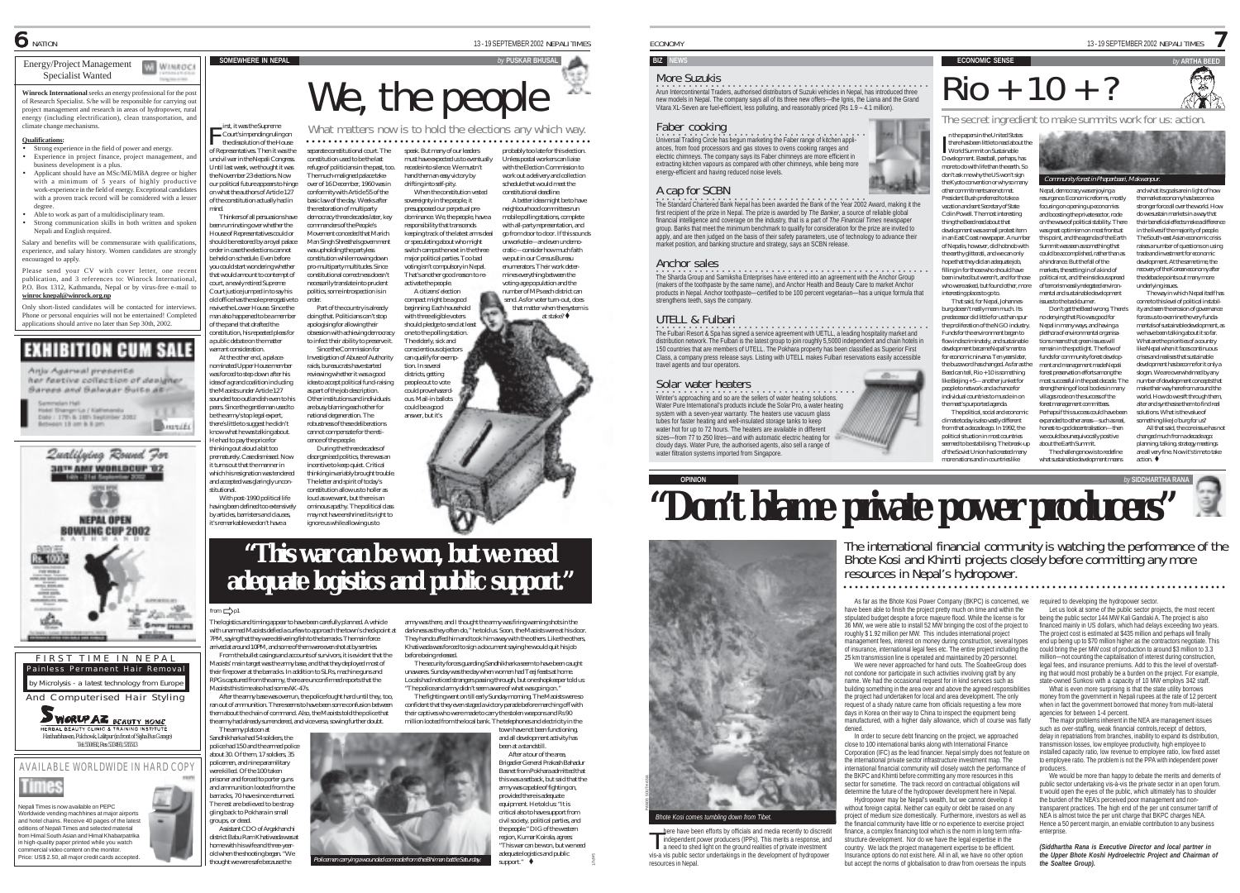### Energy/Project Management **WI WINROCK** Specialist Wanted

**Winrock International** seeks an energy professional for the pos of Research Specialist. S/he will be responsible for carrying out project management and research in areas of hydropower, rural energy (including electrification), clean transportation, and climate change mechanisms.

### **Qualifications:**

- Strong experience in the field of power and energy. • Experience in project finance, project management, and business development is a plus.
- Applicant should have an MSc/ME/MBA degree or higher with a minimum of 5 years of highly productive work-experience in the field of energy. Exceptional candidates with a proven track record will be considered with a lesser
- degree. Able to work as part of a multidisciplinary team. • Strong communication skills in both written and spoken
- Nepali and English required. Salary and benefits will be commensurate with qualifications

experience, and salary history. Women candidates are strongly encouraged to apply. Please send your CV with cover letter, one recent

publication, and 3 references to: Winrock International, P.O. Box 1312, Kathmandu, Nepal or by virus-free e-mail to **winroc knepal@winrock.org.np**

Only short-listed candidates will be contacted for interviews. Phone or personal enquiries will not be entertained! Completed applications should arrive no later than Sep 30th, 2002.



her fastive collection of designer **Barees and Balwaar Buits at !!** 







**AVAILABLE WORLDWIDE IN HARD COP** were killed. Of the 100 taken



Nepali Times is now available on PEPC Worldwide vending machhines at major airports and hotel chains. Receive 40 pages of the latest editions of Nepali Times and selected material from Himal South Asian and Himal Khabarpatrika in high-quality paper printed while you watch commercial video content on the monitor. Price: US\$ 2.50, all major credit cards accepted.

irst, it was the Supreme<br>  $\leftarrow$  Court's impending ruling on Court's impending ruling on the dissolution of the House of Representatives. Then it was the uncivil war in the Nepali Congress. Until last week, we thought it was separate constitutional court. The constitution used to be the last

 $$ 

mind.

the November 23 elections. Now our political future appears to hinge on what the authors of Article 127 of the constitution actually had in refuge of politicians in the past, too. The much-maligned palace takeover of 16 December, 1960 was in conformity with Article 55 of the basic law of the day. Weeks after

Thinkers of all persuasions have been ruminating over whether the House of Representatives could or should be restored by a royal palace order in case the elections cannot be held on schedule. Even before you could start wondering whether that would amount to contempt of the restoration of multiparty democracy three decades later, key commanders of the People's Movement conceded that Marich Man Singh Shrestha's government was upholding the partyless constitution while mowing down

court, a newly retired Supreme Court justice jumped in to say his old office has the sole prerogative to revive the Lower House. Since the pro-multiparty multitudes. Since constitutional correctness doesn't necessarily translate into prudent politics, some introspection is in order. Part of the country is already

man also happened to be a member constitution, his repeated pleas for doing that. Politicians can't stop apologising for allowing their obsession with achieving democracy to infect their ability to preserve it.

At the other end, a palacenominated Upper House member was forced to step down after his idea of a grand coalition including the Maoists under Article 127 sounded too outlandish even to his peers. Since the gentleman used to be the army's top legal expert, Since the Commission for Investigation of Abuse of Authority raids, bureaucrats have started reviewing whether it was a good idea to accept political fund-raising as part of the job description. Other institutions and individuals are busy blaming each other for national degeneration. The

there's little to suggest he didn't know what he was talking about. He had to pay the price for thinking out aloud a bit too robustness of these deliberations cannot compensate for the reticence of the people. During the three decades of

prematurely. Case dismissed. Now it turns out that the manner in which his resignation was tendered and accepted was glaringly uncondisorganised politics, there was an incentive to keep quiet. Critical thinking invariably brought trouble. The letter and spirit of today's constitution allow us to holler as loud as we want, but there is an ominous apathy. The political class

may not have enshrined its right to ignore us while allowing us to



 $\Gamma_{\text{inst, it was the Supreme of the Hopc} \times \text{What matters now is to hold the electrons any which way.}$ 

speak. But many of our leaders must have expected us to eventually recede into silence. We mustn't hand them an easy victory by drifting into self-pity. When the constitution vested probably too late for this election. Unless postal workers can liaise with the Election Commission to work out a delivery and collection schedule that would meet the

compact might be a good beginning. Each household with three eligible voters should pledge to send at least

The elderly, sick and

can qualify for exemption. In several districts, getting people out to vote could prove hazardous. Mail-in ballots could be a good answer, but it's

sovereignty in the people, it presupposed our perpetual predominance. We, the people, have a responsibility that transcends keeping track of the latest arms deal or speculating about who might switch camps the next in the three major political parties. Too bad voting isn't compulsory in Nepal. That's another good reason to reactivate the people. A citizens' election constitutional deadline. A better idea might be to have neighbourhood committees run mobile polling stations, complete with all-party representation, and go from door to door. If this sounds unworkable—and even undemocratic—consider how much faith we put in our Census Bureau enumerators. Their work determines everything between the voting-age population and the

number of MPs each district can send. As for voter turn-out, does that matter when the system is at stake? $\bullet$ 

one to the polling station. conscientious objectors

ECONOMY 13-19 SEPTEMBER 2002 NEPALI TIMES

### **BIZ NEW**

### More Suzukis

<u>。</u><br>Arun Intercontinental Traders, authorised distributors of Suzuki vehicles in Nepal, has introduced three new models in Nepal. The company says all of its three new offers—the Ignis, the Liana and the Grand Vitara XL-Seven are fuel-efficient, less polluting, and reasonably priced (Rs 1.9 – 4.1 million).

### Faber cooking

**Oniversal Trading Circle has begun marketing the Faber range of kitchen appli**ances, from food processors and gas stoves to ovens cooking ranges and electric chimneys. The company says its Faber chimneys are more efficient in extracting kitchen vapours as compared with other chimneys, while being more energy-efficient and having reduced noise levels.

### A cap for SCBN

**•**<br>The Standard Chartered Bank Nepal has been awarded the Bank of the Year 2002 Award, making it the first recipient of the prize in Nepal. The prize is awarded by *The Banker*, a source of reliable global financial intelligence and coverage on the industry, that is a part of *The Financial Times* newspaper group. Banks that meet the minimum benchmark to qualify for consideration for the prize are invited to apply, and are then judged on the basis of their safety parameters, use of technology to advance their market position, and banking structure and strategy, says an SCBN release.

### Anchor sales

on a Sharda Group and Samiksha Enterprises have entered into an agreement with the Anchor Group (makers of the toothpaste by the same name), and Anchor Health and Beauty Care to market Anchor products in Nepal. Anchor toothpaste—certified to be 100 percent vegetarian—has a unique formula that strengthens teeth, says the company.

### UTELL & Fulbari

<u>·</u><br>The Fulbari Resort & Spa has signed a service agreement with UETLL, a leading hospitality market and distribution network. The Fulbari is the latest group to join roughly 5,5000 independent and chain hotels in 150 countries that are members of UTELL. The Pokhara property has been classified as Superior First Class, a company press release says. Listing with UTELL makes Fulbari reservations easily accessible travel agents and tour operators.

### Solar water heaters

winter's approaching and so are the sellers of water heating solutions. whiter stapproaching and so are the sellers or water freating solutions.<br>Water Pure International's products include the Solar Pro, a water heating system with a seven-year warranty. The heaters use vacuum glass tubes for faster heating and well-insulated storage tanks to keep water hot for up to 72 hours. The heaters are available in different sizes—from 77 to 250 litres—and with automatic electric heating for cloudy days. Water Pure, the authorised agents, also sell a range of water filtration systems imported from Singapore.

"Don't blame private power producers"

As far as the Bhote Kosi Power Company (BKPC) is concerned, we have been able to finish the project pretty much on time and within the stipulated budget despite a force majeure flood. While the license is for 36 MW, we were able to install 52 MW bringing the cost of the project to roughly \$ 1.92 million per MW. This includes international project

*Bhote Kosi comes tumbling down from Tibet.*

### **ECONOMIC SENSE** Rio + 10 + ?

7

SF<br>25

and what its goals are in light of how the market economy has become a stronger force all over the world. How do we sustain markets in a way that their beneficial effects make a difference in the lives if the majority of people. The South-east Asian economic crisis raises a number of questions on using trade and investment for economic development. At the same time, the recovery of the Korean economy after the debacle points out many more underlying issues. The way in which Nepal itself has come to this level of political instability and seen the erosion of governance forces us to examine the very fundamentals of sustainable development, as we have been talking about it so far. What are the priorities of a country like Nepal when it faces continuou crises and realises that sustainable development has become for it only a slogan. We are overwhelmed by any number of development concepts that make their way here from around the world. How do we sift through them,

The secret ingredient to make summits work for us: action.

Nepal, democracy was enjoying a resurgence. Economic reforms, mostly focusing on opening up economies and boosting the private sector, rode on the wave of political stability. There was great optimism on most fronts at this point, and the agenda of the Earth Summit was seen as something that could be accomplished, rather than as a hindrance. But the fall of the markets, the setting in of a kind of political rot, and the insidious spread of terrorism easily relegated environ-

Community forest in Phapari

n the papers in the United States<br>there has been little to read about<br>World Summit on Sustainable there has been little to read about the World Summit on Sustainable Development. Baseball, perhaps, has more to do with life than the earth. So don't ask me why the US won't sign the Kyoto convention or why so many other commitments are not met. President Bush preferred to take a vacation and sent Secretary of State Colin Powell. The most interesting thing the Beed read about that development was a small protest item

in an East Coast newspaper. A number of Nepalis, however, did hobnob with the earthy glitterati, and we can only hope that they did an adequate job, filling in for those who should have been invited but weren't, and for those who were asked, but found other, more interesting places to go to. That said, for Nepal, Johannesburg doesn't really mean much. Its

the meet's purported agenda.

from that a decade ago. In 1992, the political situation in most countries

of the Soviet Union had created many more nations and in countries like

predecessor did little for us than spur the proliferation of the NGO industry. Funds for the environment began to flow indiscriminately, and sustainable development became Nepal's mantra for economic nirvana. Ten years later the buzzword has changed. As far as the Beed can tell, Rio + 10 is something like Beijing + 5—another junket for people to network and a chance for individual countries to muscle in on The political, social and economic climate today is also vastly different mental and sustainable development issues to the backburner. Don't get the Beed wrong. There's no denying that Rio was good for Nepal in many ways, and having a plethora of environmental organisations means that green issues will remain in the spotlight. The flow of funds for community forest development and management made Nepali forest preservation efforts among the most successful in the past decade. The strengthening of local bodies in many villages rode on the success of the forest management committees. Perhaps if this success could have been

seemed to be stabilising. The break-up expanded to other areas—such as real, honest-to-god decentralisation—then we could be unequivocally positive about the Earth Summit. The challenge now is to redefine what sustainable development means

The international financial community is watching the performance of the Bhote Kosi and Khimti projects closely before committing any more resources in Nepal's hydropower.

○○○○○○○○○○○○○○○○○○○○○○○ ○○○○○○○○○○○○○○○○○○○○○○○○○○○○○○○○○○○○○○○○○○○○○○○

alter and synthesise them to find real solutions. What is the value of something like Jo'burg for us? All that said, the core issue has not changed much from a decade ago: planning, talking, strategy meetings are all very fine. Now it's time to take  $\int$ action.  $\oint$ 



PANOS SOUTH ASIA

management fees, interest on money during construction, several types of insurance, international legal fees etc. The entire project including the 25 km transmission line is operated and maintained by 20 personnel. We were never approached for hand outs. The SoalteeGroup does not condone nor participate in such activities involving graft by any

name. We had the occasional request for in kind services such as building something in the area over and above the agreed responsibilities the project had undertaken for local and area development. The only request of a shady nature came from officials requesting a few more days in Korea on their way to China to inspect the equipment being manufactured, with a higher daily allowance, which of course was flatly

denied. In order to secure debt financing on the project, we approached close to 100 international banks along with International Finance Corporation (IFC) as the lead financier. Nepal simply does not feature on the international private sector infrastructure investment map. The international financial community will closely watch the performance of the BKPC and Khimti before committing any more resources in this sector for sometime. The track record on contractual obligations will determine the future of the hydropower development here in Nepal. Hydropower may be Nepal's wealth, but we cannot develop it

without foreign capital. Neither can equity or debt be raised on any project of medium size domestically. Furthermore, investors as well as the financial community have little or no experience to exercise project finance, a complex financing tool which is the norm in long term infrastructure development. Nor do we have the legal expertise in the

country. We lack the project management expertise to be efficient. Insurance options do not exist here. All in all, we have no other option but accept the norms of globalisation to draw from overseas the inputs required to developing the hydropower sector.

Let us look at some of the public sector projects, the most recent being the public sector 144 MW Kali Gandaki A. The project is also being the public sector 144 mm rtail calldard At the project is also<br>financed mainly in US dollars, which had delays exceeding two years. The project cost is estimated at \$435 million and perhaps will finally end up being up to \$70 million higher as the contractors negotiate. This could bring the per MW cost of production to around \$3 million to 3.3 million—not counting the capitalisation of interest during construction, legal fees, and insurance premiums. Add to this the level of overstaffing that would most probably be a burden on the project. For example, state-owned Sunkosi with a capacity of 10 MW employs 342 staff. What is even more surprising is that the state utility borrows

money from the government in Nepali rupees at the rate of 12 percent when in fact the government borrowed that money from multi-lateral agencies for between 1-4 percent.

The major problems inherent in the NEA are management issues such as over-staffing, weak financial controls,receipt of debtors, delay in repatriations from branches, inability to expand its distribution, transmission losses, low employee productivity, high employee to installed capacity ratio, low revenue to employee ratio, low fixed asset to employee ratio. The problem is not the PPA with independent power producers. We would be more than happy to debate the merits and demerits of

public sector undertaking vis-à-vis the private sector in an open forum. It would open the eyes of the public, which ultimately has to shoulder the burden of the NEA's perceived poor management and nontransparent practices. The high end of the per unit consumer tarriff of NEA is almost twice the per unit charge that BKPC charges NEA. Hence a 50 percent margin, an enviable contribution to any business enterprise

*(Siddhartha Rana is Executive Director and local partner in the Upper Bhote Koshi Hydroelectric Project and Chairman of the Soaltee Group).*

# **"This war can be won, but we need adequate logistics and public support."**

The logistics and timing appear to have been carefully planned. A vehicle with unarmed Maoists defied a curfew to approach the town's checkpoint at 7PM, saying that they were delivering fish to the barracks. The main force arrived at around 10PM, and some of them were even shot at by sentries. From the bullet casings and accounts of survivors, it is evident that the Maoists' main target was the army base, and that they deployed most of their firepower at the barracks. In addition to SLRs, machine guns and RPGs captured from the army, there are unconfirmed reports that the Maoists this time also had some AK-47s.

After the army base was overrun, the police fought hard until they, too, ran out of ammunition. There seems to have been some confusion between them about the chain of command. Also, the Maoists told the police that the army had already surrendered, and vice versa, sowing further doubt. The army platoon at



home with his wife and three-yearold when the shooting began. "We thought we were safe because the Policemen carrying a wounded comrade from the Bhiman battle Saturday.

gling back to Pokhara in small groups, or dead.

army was there, and I thought the army was firing warning shots in the darkness as they often do," he told us. Soon, the Maoists were at his door. They handcuffed him and took him away with the others. Like the others Khatiwada was forced to sign a document saying he would quit his job before being released. The security forces guarding Sandhikharka seem to have been caught

unawares. Sunday was the day when women had Teej feasts at home. Locals had noticed strangers passing through, but one shopkeeper told us: "The police and army didn't seem aware of what was going on."

The fighting went on till early Sunday morning. The Maoists were so confident that they even staged a victory parade before marching off with their captives who were made to carry the stolen weapons and Rs 90 million looted from the local bank. The telephones and electricity in the town have not been functioning,

and all development activity has been at a standstill. After a tour of the area, Brigadier General Prakash Bahadur Basnet from Pokhara admitted that this was a setback, but said that the army was capable of fighting on, provided there is adequate equipment. He told us: "It is critical also to have support from civil society, political parties, and the people." DIG of the western region, Kumar Koirala, agrees:

> "This war can be won, but we need adequate logistics and public  $sumort.$ "



### With post-1990 political life having been defined too extensively by articles, barristers and clauses, it's remarkable we don't have a

stitutional.

of the panel that drafted the

a public debate on the matter warrant consideration.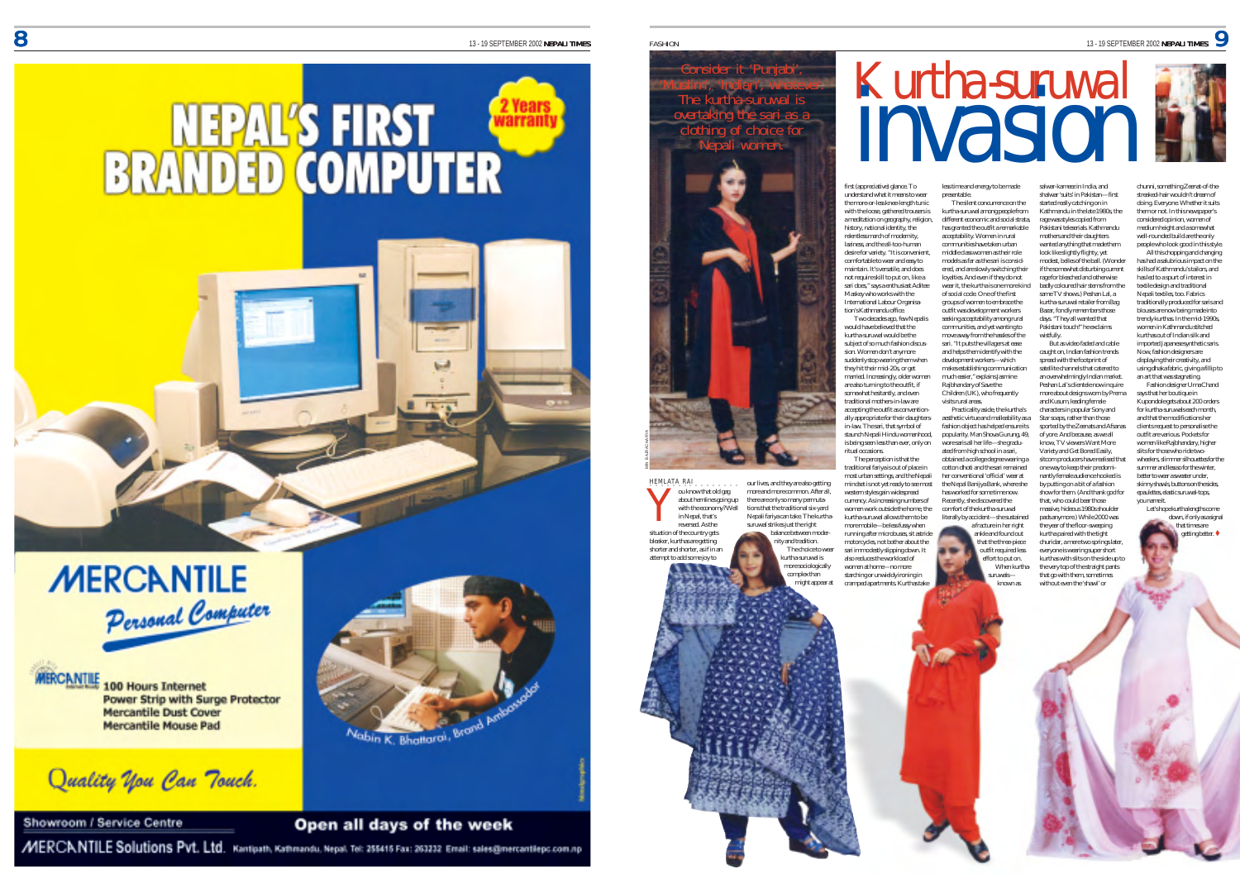



**MERCANTILE 100 Hours Internet** Power Strip with Surge Protector **Mercantile Dust Cover Mercantile Mouse Pad** 

Quality you Can Touch.

Showroom / Service Centre



Open all days of the week

MERCANTILE Solutions Pvt. Ltd. Kantipath, Kathmandu, Nepal. Tel: 255415 Fax: 263232 Email: sales@mercantilepc.com.np



HEMLATA RAI ○○○○○○○○○○○○○○○○ ou know that old gag about hemlines going up with the economy? Well in Nepal, that's reversed. As the situation of the country get bleaker, kurthas are getti shorter and shorter, as if in an attempt to add some joy to our lives, and they are also getting more and more common. After all, there are only so many permutations that the traditional six-yard Nepali fariya can take. The kurthasuruwal strikes just the right balance between moder nity and tradition. The choice to wear kurtha-suruwal is more sociologically

Y

complex than .<br>hight appear at first (appreciative) glance. To understand what it means to wear the more-or-less knee-length tunic with the loose, gathered trousers is a meditation on geography, religion history, national identity, the relentless march of modernity, laziness, and the all-too-human desire for variety. "It is convenient, comfortable to wear and easy to maintain. It's versatile, and does not require skill to put on, like a sari does," says a enthusiast Aditee Maskey who works with the International Labour Organisation's Kathmandu office. Two decades ago, few Nepalis less time and energy to be made presentable. kurtha-suruwal among people from different economic and social strata, acceptability. Women in rural communities have taken urban middle class women as their role models as far as the sari is considloyalties. And even if they do not of social code. One of the first groups of women to embrace the outfit was development workers

would have believed that the kurtha-suruwal would be the subject of so much fashion discussion. Women don't anymore suddenly stop wearing them when they hit their mid-20s, or get married. Increasingly, older women are also turning to the outfit, if somewhat hesitantly, and even traditional mothers-in-law are accepting the outfit as conventionally appropriate for their daughters-in-law. The sari, that symbol of staunch Nepali Hindu womanhood, is being seen less than ever, only on ritual occasions. development workers—which Rajbhandary of Save the Children (UK), who frequently visits rural areas. Practicality aside, the kurtha's aesthetic virtue and malleability as a fashion object has helped ensure its popularity. Man Shova Gurung, 49, wore saris all her life—she graduated from high school in a sari,

The perception is that the traditional fariya is out of place in most urban settings, and the Nepali mindset is not yet ready to see most western styles gain widespread currency. As increasing numbers of women work outside the home, the kurtha-suruwal allows them to be more mobile—be less fussy when running after microbuses, sit astride motorcycles, not bother about the sari immodestly slipping down. It also reduces the workload of women at home—no more starching or unwieldy ironing in cramped apartments. Kurthas take obtained a college degree wearing a cotton dhoti and the sari remained her conventional 'official' wear at the Nepal Banijya Bank, where she has worked for some time now. Recently, she discovered the comfort of the kurtha-suruwal literally by accident—she sustained

The silent concurrence on the salwar-kameez in India, and shalwar 'suits' in Pakistan—first started really catching on in Kathmandu in the late 1980s, the rage was styles copied from Pakistani teleserials. Kathmandu mothers and their daughters wanted anything that made them look like slightly flighty, yet modest, belles of the ball. (Wonder if the somewhat disturbing current rage for bleached and otherwise badly coloured hair stems from the same TV shows.) Peshan Lal, a kurtha-suruwal retailer from Bag

Kurtha-suruwal<br>**INVASION** 

days. "They all wanted that Pakistani touch!" he exclaims But as video faded and cable caught on, Indian fashion trends spread with the footprint of satellite channels that catered to an overwhelmingly Indian market. Peshan Lal's clientele now inquire more about designs worn by Prerna and Kusum, leading female characters in popular Sony and Star soaps, rather than those sported by the Zeenats and Afsanas of yore. And because, as we all know, TV viewers Want More Variety and Get Bored Easily, sitcom producers have realised that one way to keep their predominantly female audience hooked is by putting on a bit of a fashion show for them. (And thank god for that, who could bear those massive, hideous 1980s shoulder pads anymore.) While 2000 was churidar, a mere two springs later kurthas with slits on the side up to

well-rounded build are the only people who look good in this style. All this chopping and changing has had a salubrious impact on th skills of Kathmandu's tailors, and has led to a spurt of interest in textile design and traditional Nepali textiles, too. Fabrics traditionally produced for saris and blouses are now being made into trendy kurthas. In the mid-1990s, women in Kathmandu stitched kurthas out of Indian silk and imported Japanese synthetic saris Now, fashion designers are displaying their creativity, and using dhaka fabric, giving a fillip to an art that was stagnating. Fashion designer Uma Chand says that her boutique in Kupondole gets about 200 order for kurtha-suruwals each month and that the modifications her clients request to personalise the outfit are various. Pockets for women like Rajbhandary, higher slits for those who ride twowheelers, slimmer silhouettes for the summer and less so for the winter, better to wear a sweater under, skinny shawls, buttons on the sides epaulettes, elastic suruwal-tops, you name it.

chunni, something Zeenat-of-thestreaked-hair wouldn't dream of doing. Everyone. Whether it suits them or not. In this newspaper's considered opinion, women of medium height and a somewhat

> Let's hope kurtha lengths come down, if only as a signal that times are getting better. "

has granted the outfit a remarkable ered, and are slowly switching their wear it, the kurtha is one more kind seeking acceptability among rural communities, and yet wanting to move away from the hassles of the sari. "It puts the villagers at ease and helps them identify with the makes establishing communication much easier," explains Jasmine Bazar, fondly remembers those wistfully.

When kurthathe year of the floor-sweeping kurtha paired with the tight everyone is wearing super short the very top of the straight pants that go with them, sometimes without even the 'shawl' or

a fracture in her right ankle and found out that the three-piece outfit required less effort to put on.

> suruwals known as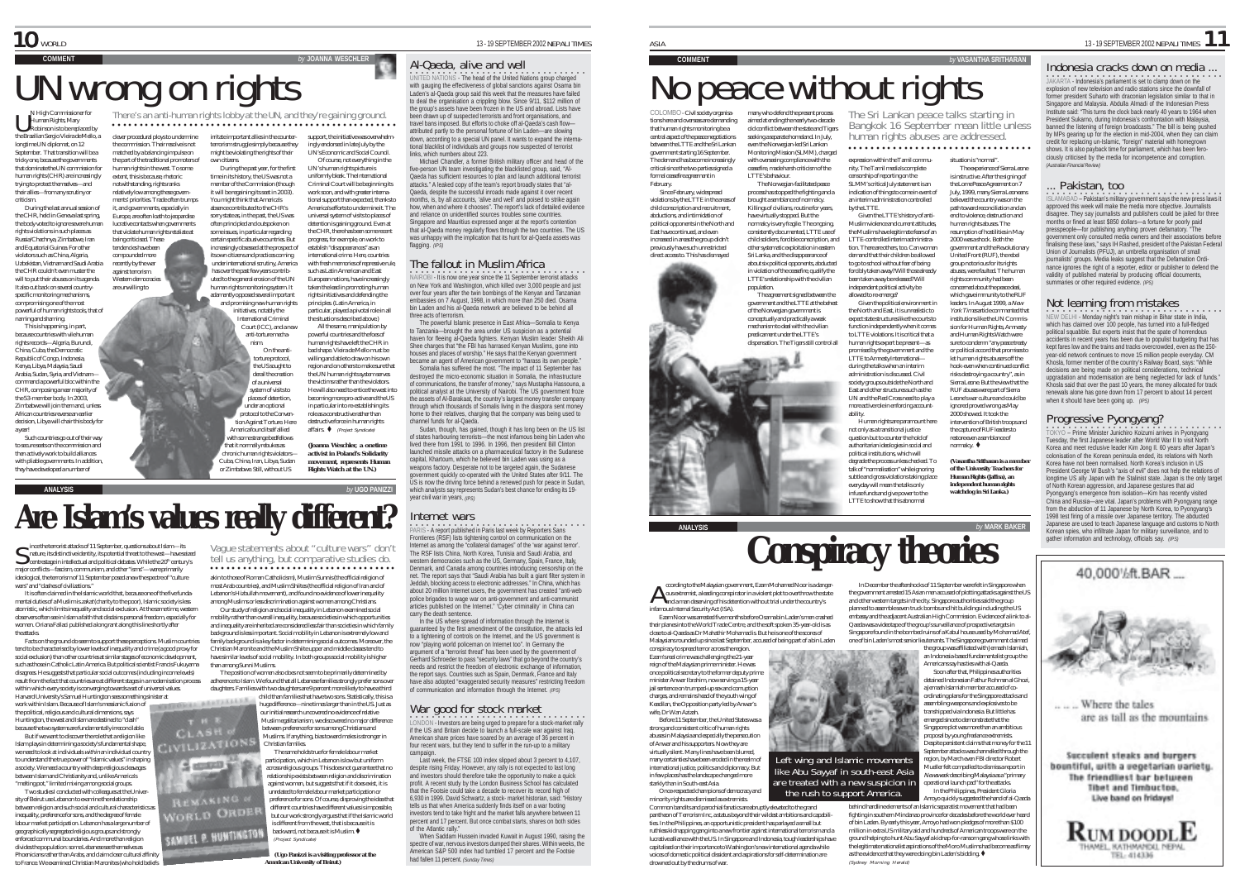# UN wrong on rights and the UN, and they're gaining ground.

extent, this is because, rhetoric notwithstanding, rights ranks

N High Commissioner for Human Rights, Mary Robinson is to be replaced by the Brazilian Sergio Vieira de Mello, a longtime UN diplomat, on 12 September. That transition will be a tricky one, because the governments matched by a balancing impulse on

that dominate the UN commission for human rights (CHR) are increasingly trying to protect themselves—and u ying to protect themselves—and<br>their allies—from any scrutiny or criticism. During the last annual session of

the CHR, held in Geneva last spring, the body voted to ignore severe human rights violations in such places as Russia/Chechnya, Zimbabwe, Iran and Equatorial Guinea. For other violators such as China, Algeria, Uzbekistan, Vietnam and Saudi Arabia the CHR couldn't even muster the will to put their abuses on its agenda. It also cut back on several countryspecific monitoring mechanisms, Europe, are often loath to jeopardise lucrative contacts when governments that violate human rights retaliate at being criticised. These tendencies have been compounded more recently by the war against terrorism. Western democracies are unwilling to

compromising one of the most powerful of human rights tools, that of naming and shaming. This is happening, in part, because countries with vile human

rights records—Algeria, Burundi, China, Cuba, the Democratic Republic of Congo, Indonesia, Kenya, Libya, Malaysia, Saudi Arabia, Sudan, Syria, and Vietnam command a powerful bloc within the CHR, composing a near majority of the 53-member body. In 2003 Zimbabwe will join them and, unless African countries reverse an earlier decision, Libya will chair this body for a year!

Such countries go out of their way to secure seats on the commission and then actively work to build alliances with pliable governments. In addition, they have developed a number of

wars" and "clashes of civilizations."

the attacks.

ince the terrorist attacks of 11 September, questions about Islam—its  $\mathcal S$  ince the terrorist attacks of 11 September, questions about Islam—its<br>Shature, its distinctive identity, its potential threat to the west—have seized<br>centrestage in intellectual and political debates. While the 20<sup></sup> major conflicts—fascism, communism, and other "isms"—were primarily ideological, the terrorism of 11 September posed anew the spectre of "culture

It is often claimed in the Islamic world that, because one of the five fundamental duties of a Muslim is zakat (charity to the poor), Islamic society is less atomistic, which limits inequality and social exclusion. At the same time, western observers often see in Islam a faith that disdains personal freedom, especially for women. Oriana Fallaci published a long rant along this line shortly after

Facts on the ground do seem to support these perceptions. Muslim countries tend to be characterised by lower levels of inequality and crime (a good proxy for social exclusion) than other countries at similar stages of economic development, such as those in Catholic Latin America. But political scientist Francis Fukuyama disagrees. He suggests that particular social outcomes (including income levels) result from the fact that countries are at different stages in a modernisation process within which every society is converging towards a set of universal values. Harvard University's Samuel Huntington sees something sinister at work within Islam. Because of Islam's messianic fusion of the political, religious and cultural dimensions, says Huntington, the west and Islam are destined to "clash" because the two systems are fundamentally irreconcilable. But if we want to discover the role that a religion like Islam plays in determining a society's fundamental shape, we need to look at individuals within an individual country to understand the true power of "Islamic values" in shaping a society. We need a country with deep religious cleavages between Islam and Christianity and, unlike America's "melting pot," limited mixing among social groups. Two studies I conducted with colleagues at the University of Beirut use Lebanon to examine the relationship between religion and such social and cultural characteristics as inequality, preference for sons, and the degree of female labour market participation. Lebanon has a large number of geographically segregated religious groups and strongly enforced communal boundaries. And more than religion divides the population: some Lebanese see themselves as Phoenicians rather than Arabs, and claim closer cultural affinity to France. We examined Christian Maronites (who hold beliefs

clever procedural ploys to undermine the commission. Their resolve is not irritate important allies in the counterterrorism struggle simply because they U ○○○○○○○○○○○○○○○○○○○○○○○○○○○○○○○○○ ○○○○○○○○○○○○○○○○○○○

**ANALYSIS** *by* **UGO PANIZZI**

than among Sunni Muslims.

**Are Islam's values really different?**

CLASH **CIVILIZATION** 

 $\frac{2}{3}$  control  $\frac{2}{36}$ 

**PMAKING WORLD ORDE** 

SAMUEL P. HUNTINGTON

the part of the traditional promoters of human rights in the west. To some relatively low among these governments' priorities. Trade often trumps it, and governments, especially in might be violating the rights of their n citizens. During the past year, for the first time in its history, the US was not a member of the Commission (though it will be regaining its seat in 2003). You might think that America's

absence contributed to the CHR's sorry state as, in the past, the US was often principled and outspoken on some issues, in particular regarding certain specific abusive countries. But increasingly obsessed at the prospect of ts own citizens and practices coming under international scrutiny, America has over the past few years contributed to the general erosion of the UN America's efforts to undermine it. The universal system of visits to places of detention is gaining ground. Even at the CHR, there has been some recent

human rights monitoring system. It adamantly opposed several important progress, for example, on work to establish "disappearances" as an international crime. Here, countries with fresh memories of repressive rule, such as Latin American and East European nations, have increasingly taken the lead in promoting human rights initiatives and defending the

and promising new human rights initiatives, notably the International Criminal Court (ICC), and a new anti-torture mechaprinciples. (Latin America, in particular, played a pivotal role in all the situations described above.) All the same, manipulation by<br>nowerful countries and the fors of

nism. On the antitorture protocol, the US sought to derail the creation of a universal system of visits to places of detention, under an optional protocol to the Convention Against Torture. Here America found itself allied powerful countries and the foes of human rights have left the CHR in bad shape. Vieira de Mello must be willing and able to draw on his own region and on others to make sure that the UN human rights system serves the victims rather than the violators. He will also need to entice the west into becoming more pro-active and the US in particular into re-establishing its role as a constructive rather than destructive force in human rights affairs.  $\blacklozenge$  (Project Syndicate)

*by* JOANNA WESCHLER

support, the initiative was overwhelm ingly endorsed in late July by the UN's Economic and Social Council. Of course, not everything in the UN's human rights picture is uniformly bleak. The International Criminal Court will be beginning its work soon, and with greater international support than expected, thanks to

with some strange bedfellows that it normally rebukes as chronic human rights violators— Cuba, China, Iran, Libya, Sudan or Zimbabwe. Still, without US *(Joanna Weschler, a onetime activist in Poland's Solidarity movement, represents Human Rights Watch at the UN.)*

Vague statements about "culture wars" don't tell us anything, but comparative studies do. akin to those of Roman Catholicism), Muslim Sunnis (the official religion of most Arab countries), and Muslim Shiites (the official religion of Iran and of Lebanon's Hizbullah movement), and found no evidence of lower inequality among Muslims or less discrimination against women among Christians. Our study of religion and social inequality in Lebanon examined social mobility rather than overall inequality, because societies in which opportunities and inequality are inherited are considered less fair than societies in which family background is less important. Social mobility in Lebanon is extremely low and family background is a key factor in determining social outcomes. Moreover, the Christian Maronite and the Muslim Shiite upper and middle classes tend to have similar levels of social mobility. In both groups social mobility is higher

○○○○○○○○○○○○○○○○○○○○○○○○○○○○ ○○○○○○

The position of women also does not seem to be primarily determined by adherence to Islam. We found that all Lebanese families strongly prefer sons over daughters. Families with two daughters are 9 percent more likely to have a third child than families that have two sons. Statistically, this is a huge difference—nine times larger than in the US. Just as our initial research uncovered no evidence of relative Muslim egalitarianism, we discovered no major difference between preference for sons among Christians and Muslims. If anything, bias toward males is stronger in

> The same holds true for female labour market participation, which in Lebanon is low but uniform across religious groups. This does not guarantee that no relationship exists between religion and discrimination against women, but suggests that if it does exist, it is unrelated to female labour market participation or preference for sons. Of course, disproving the idea that different countries have different values is impossible, but our work strongly argues that if the Islamic world is different from the west, that is because it is backward, not because it is Muslim. (Project Syndicate) *(Ugo Panizzi is a visiting professor at the American University of Beirut.)*

Christian families.

### Al-Qaeda, alive and well

.<br>UNITED NATIONS - The head of the United Nations group charged<br>with gauging the effectiveness of global sanctions against Osama bin<br>Laden's al-Qaeda group said this week that the measures have failed to deal the organisation a crippling blow. Since 9/11, \$112 million of the group's assets have been frozen in the US and abroad. Lists have been drawn up of suspected terrorists and front organisations, and travel bans imposed. But efforts to choke off al-Qaeda's cash flow attributed partly to the personal fortune of bin Laden—are slowing down, according to a special UN panel. It wants to expand the interna-tional blacklist of individuals and groups now suspected of terrorist links, which numbers about 223

Michael Chandler, a former British military officer and head of the five-person UN team investigating the blacklisted group, said, "Al-Qaeda has sufficient resources to plan and launch additional terrorist attacks." A leaked copy of the team's report broadly states that "al-Qaeda, despite the successful inroads made against it over recent months, is, by all accounts, 'alive and well' and poised to strike again how, when and where it chooses". The report's lack of detailed evidence and reliance on unidentified sources troubles some countries. Singapore and Mauritius expressed anger at the report's contention that al-Qaeda money regularly flows through the two countries. The US was unhappy with the implication that its hunt for al-Qaeda assets was flagging. *(IPS)*

### The fallout in Muslim Africa

OBI - It is now one year since the 11 September terrorist attacks on New York and Washington, which killed over 3,000 people and just over four years after the twin bombings of the Kenyan and Tanzanian embassies on 7 August, 1998, in which more than 250 died. Osama bin Laden and his al-Qaeda network are believed to be behind all three acts of terrorism.

The powerful Islamic presence in East Africa—Somalia to Kenya to Tanzania—brought the area under US suspicion as a potential haven for fleeing al-Qaeda fighters. Kenyan Muslim leader Sheikh Ali Shee charges that "the FBI has harrased Kenyan Muslims, gone into houses and places of worship." He says that the Kenyan government became an agent of American government to "harass its own people." Somalia has suffered the most. "The impact of 11 September has destroyed the micro-economic situation in Somalia, the infrastructure of communications, the transfer of money," says Mustapha Hassouna, a political analyst at the University of Nairobi. The US government froze the assets of Al-Barakaat, the country's largest money transfer company through which thousands of Somalis living in the diaspora sent money home to their relatives, charging that the company was being used to channel funds for al-Qaeda.

Sudan, though, has gained, though it has long been on the US list of states harbouring terrorists—the most infamous being bin Laden who lived there from 1991 to 1996. In 1996, then president Bill Clinton launched missile attacks on a pharmaceutical factory in the Sudanese capital, Khartoum, which he believed bin Laden was using as a

weapons factory. Desperate not to be targeted again, the Sudanese government quickly co-operated with the United States after 9/11. The US is now the driving force behind a renewed push for peace in Sudan, which analysts say represents Sudan's best chance for ending its 19year civil war in years. *(IPS)*

### Internet wars

•<br>PARIS - A report published in Paris last week by Reporters Sans Frontieres (RSF) lists tightening control on communication on the<br>Frontieres (RSF) lists tightening control on communication on the<br>Internet as among the "collateral damages" of the 'war against term' Internet as among the "collateral damages" of the 'war against terror'. The RSF lists China, North Korea, Tunisia and Saudi Arabia, and western democracies such as the US, Germany, Spain, France, Italy, Denmark, and Canada among countries introducing censorship on the net. The report says that "Saudi Arabia has built a giant filter system in Jeddah, blocking access to electronic addresses." In China, which has about 20 million Internet users, the government has created "anti-web police brigades to wage war on anti-government and anti-communist articles published on the Internet." 'Cyber criminality' in China can carry the death sentence.

In the US where spread of information through the Internet is quaranteed by the first amendment of the constitution, the attacks led to a tightening of controls on the Internet, and the US government is now "playing world policeman on Internet too". In Germany the argument of a "terrorist threat" has been used by the government of Gerhard Schroeder to pass "security laws" that go beyond the country's needs and restrict the freedom of electronic exchange of information, the report says. Countries such as Spain, Denmark, France and Italy have also adopted "exaggerated security measures" restricting freedom of communication and information through the Internet. *(IPS)*

War good for stock market<br>LONDON - Investors are being urged to prepare for a stock-market rally<br>if the US and Britain decide to launch a full-scale war against Iraq. American share prices have soared by an average of 36 percent in four recent wars, but they tend to suffer in the run-up to a military campaign.

Last week, the FTSE 100 index slipped about 3 percent to 4,107, despite rising Friday. However, any rally is not expected to last long and investors should therefore take the opportunity to make a quick profit. A recent study by the London Business School has calculated that the Footsie could take a decade to recover its record high of 6,930 in 1999. David Schwartz, a stock- market historian, said: "History tells us that when America suddenly finds itself on a war footing investors tend to take fright and the market falls anywhere between 11 percent and 17 percent. But once combat starts, shares on both sides of the Atlantic rally."

When Saddam Hussein invaded Kuwait in August 1990, raising the spectre of war, nervous investors dumped their shares. Within weeks, the American S&P 500 index had tumbled 17 percent and the Footsie had fallen 11 percent. *(Sunday Times)*

February.

### **COMMENT** *by* **VASANTHA SRITHARAN** No peace without rights

COLOMBO - Civil society organisa-tions here and overseas are demanding that human rights monitoring be a central aspect of the peace negotiations between the LTTE and the Sri Lankan government starting 16 September. The demand has become increasingly critical since the two parties signed a formal ceasefire agreement in many who defend the present process aimed at ending the nearly two-decade old conflict between the state and Tiger seeking a separate homeland. In July, even the Norwegian-led Sri Lankan Monitoring Mission (SLMM), charged with overseeing compliance with th ceasefire, made harsh criticism of the LTTE's behaviour. The Norwegian-facilitated peace

Since February, widespread violations by the LTTE in the areas of child conscription and recruitment, abductions, and intimidation of political opponents in the North and East have continued, and even increased in areas the group didn't previously have such unrestricted direct access to. This has dismayed process has stopped the fighting and a brought a semblance of normalcy. Killings of civilians, routine for years, have virtually stopped. But the normalcy is very fragile. The ongoing, consistently documented, LTTE use of child soldiers, forcible conscription, and other systematic exploitation in eastern

Sri Lanka, and the disappearance of about six political opponents, abducted in violation of the ceasefire, qualify the LTTE's relationship with the civilian population. The agreement signed between the

government and the LTTE at the behest of the Norwegian government is conceptually and practically a weak mechanism to deal with the civilian predicament under the LTTE's



○○○○ ○○○○○○○○○○○○○○○○○○○○○○○○○○○○○

nity. The Tamil media's complete censorship of reporting on the SLMM's critical July statement is an indication of things to come in event of an interim administration controlled by the LTTE. Given the LTTE's history of anti-Muslim violence and current attitudes, the Muslims have legitimate fears of an LTTE-controlled interim administration. There are others, too. Can women demand that their children be allowed to go to school without fear of being forcibly taken away? Will those already been taken away be released? Will independent political activity be

allowed to re-emerge? Given the political environment in the North and East, it is unrealistic to expect state structures like the courts to function independently when it comes to LTTE violations. It is critical that a human rights expert be present—as promised by the government and the LTTE to Amnesty International during the talks when an interim administration is discussed. Civil society groups outside the North and East and other structures such as the UN and the Red Cross need to play a more active role in enforcing account-

ability. Human rights are paramount here not only as a transitional justice question but to counter the hold of authoritarian ideologies in social and political institutions, which will degrade the process unless checked. To talk of "normalisation" while ignoring subtle and gross violations taking place everyday will mean the talks only infuse funds and give power to th LTTE to show that this abnormal

The Sri Lankan peace talks starting in Bangkok 16 September mean little unless human rights abuses are addressed.

which gave immunity to the RUF leaders. In August 1999, a New York Times article commented that institutions like the UN Commission for Human Rights, Amnesty and Human Rights Watch were sure to condemn "any peace treaty or political accord that promises to let human rights abusers off the hook-even when continued conflict risks destroying a country", as in Sierra Leone. But the view that the RUF abuses were part of Sierra Leone's war culture and could be ignored proved wrong as May

normalcy.  $\blacklozenge$ 

expression within the Tamil commu-*(Australian Financial Review)* situation is "normal".<br>The experience of Sierra Leone

The experience of Sierra Leone is instructive. After the signing of the Lome Peace Agreement on 7 July, 1999, many Sierra Leoneans believed the country was on the path toward reconciliation and an end to violence, destruction and human rights abuses. The resumption of hostilities in May 2000 was a shock. Both the government and the Revolutionary United Front (RUF), the rebel group notorious for its rights abuses, were faulted. The human rights community had been concerned about the peace deal,

2000 showed. It took the intervention of British troops and the capture of RUF leaders to

restore even a semblance of *(Vasantha Sritharan is a member of the University Teachers for Human Rights (Jaffna), an independent human right watchdog in Sri Lanka.)*

### **ANALYSIS by Conspiracy theories** In December the aftershocks of 11 September were felt in Singapore when

the government arrested 15 Asian men accused of plotting attacks against the US and other western targets in the city. Singapore authorities said the group planned to assemble seven truck bombs and hit buildings including the US

Singapore found in the bombed ruins of a Kabul house used by Mohamad Atef, one of bin Laden's most senior lieutenants. The Singapore government claimed

an Indonesia-based fundamentalist group the Americans say has ties with al-Qaeda. Soon after that, Philippines authorities detained Indonesian Fathur Rohman al Ghozi, **ALL AN** a Jemaah Islamiah member accused of coordinating plans for the Singapore attacks and assembling weapons and explosives to be transhipped via Indonesia. But little has emerged since to demonstrate that the Singapore plot was more than an ambitious proposal by young freelance extremists. Despite persistent claims that money for the 11 September attacks was channelled through the Left wing and Islamic movements region, by March even FBI director Robert Mueller felt compelled to dismiss a report in

Newsweek describing Malaysia as a "primary operational launch pad" for the attacks. In the Philippines, President Gloria Arroyo quickly suggested the hand of al-Qaeda behind hardline elements of an Islamic separatist movement that had been like Abu Sayyaf in south-east Asia are treated with a new suspicion in the rush to support America.

fighting in southern Mindanao province for decades before the world ever heard of bin Laden. By early this year, Arroyo had won pledges of more than \$100 million in extra US military aid and hundreds of American troops were on the ground helping to hunt Abu Sayyaf a kidnap-for-ransom gang whose links with the legitimate nationalist aspirations of the Moro Muslims had become as flimsy as the evidence that they were doing bin Laden's bidding.  $\blacklozenge$ (Sydney Morning Herald)

 $\overline{a}$  13-19 SEPTEMBER 2002 NEPALI TIMES 1

### **JAKARTA - Indonesia's parliament is set to clamp down on the** Indonesia cracks down on media ... explosion of new television and radio stations since the downfall of former president Suharto with draconian legislation similar to that in Singapore and Malaysia. Abdulla Almadi of the Indonesian Press Institute said: "This turns the clock back nearly 40 years to 1964 when President Sukarno, during Indonesia's confrontation with Malaysia, banned the listening of foreign broadcasts." The bill is being pushed by MPs gearing up for the election in mid-2004, when they can claim<br>credit for renlacing up for the election in mid-2004, when they can claim acing un-Islamic, "foreign" material with homegrown shows. It is also payback time for parliament, which has been ferociously criticised by the media for incompetence and corruption.

Pakistan, too

**ISLAMABAD – Pakistan's military government says the new press laws it** approved this week will make the media more objective. Journalists disagree. They say journalists and publishers could be jailed for three months or fined at least \$850 dollars—a fortune for poorly paid presspeople—for publishing anything proven defamatory. "The government only consulted media owners and their associations before finalising these laws," says IH Rashed, president of the Pakistan Federal Union of Journalists (PFUJ), an umbrella organisation of small journalists' groups. Media leaks suggest that the Defamation Ordinance ignores the right of a reporter, editor or publisher to defend the validity of published material by producing official documents, summaries or other required evidence. *(IPS)*

### Not learning from mistakes

○○○○○○○○○○○○○○ ○○○○○○○○○○○○○○○○○○ NEW DELHI - Monday night's train mishap in Bihar state in India, which has claimed over 100 people, has turned into a full-fledged political squabble. But experts insist that the spate of horrendous accidents in recent years has been due to populist budgeting that has kept fares low and the trains and tracks overcrowded, even as the 150 year-old network continues to move 15 million people everyday. CM Khosla, former member of the country's Railway Board, says: "While decisions are being made on political considerations, technical upgradation and modernisation are being neglected for lack of funds." Khosla said that over the past 10 years, the money allocated for track renewals alone has gone down from 17 percent to about 14 percent when it should have been going up. *(IPS)*

Progressive Pyongyang?<br>TOKYO – Prime Minister Junichiro Koizumi arrives in Pyongyang<br>Tuesday, the first Japanese leader after World War II to visit North Korea and meet reclusive leader Kim Jong Il. 60 years after Japan's colonisation of the Korean peninsula ended, its relations with North Korea have not been normalised. North Korea's inclusion in US President George W Bush's "axis of evil" does not help the relations of In issue to be the US ally Japan with the Stalinist state. Japan is the only target of North Korean aggression, and Japanese gestures that aid Pyongyang's emergence from isolation—Kim has recently visited China and Russia—are vital. Japan's problems with Pyongyang range from the abduction of 11 Japanese by North Korea, to Pyongyang's 1998 test firing of a missile over Japanese territory. The abducted Japanese are used to teach Japanese language and customs to North Korean spies, who infiltrate Japan for military surveillance, and to gather information and technology, officials say. *(IPS)*



ccording to the Malaysian government, Ezam Mohamed Noor is a danger- ${\mathbf A}$  coording to the Malaysian government, Ezam Mohamed Noor is a danger<br>and a man deserving of his detention without trial under the country's<br>and a man deserving of his detention without trial under the country's infamous Internal Security Act (ISA). Ezam Noor was arrested five months before Osama bin Laden's men crashed their planes into the World Trade Centre, and the soft spoken 35-year-old is as

close to al-Qaeda as Dr Mahathir Mohamad is. But he is one of the scores of Malaysians rounded up since last September, accused of being part of a bin Laden conspiracy to spread terror across the region. Ezam's real crime was challenging the 21-year reign of the Malaysian prime minister. He was once political secretary to the former deputy prime

minister Anwar Ibrahim, now serving a 15-year jail sentence on trumped-up sex and corruption charges, and remains head of the youth wing of Keadilan, the Opposition party led by Anwar's wife, Dr Wan Azizah.

e, Britan Haraan.<br>Before 11 September, the United States was a strong and consistent critic of human rights abuses in Malaysia and especially the persecution of Anwar and his supporters. Now they are virtually silent. Many lines have been blurred, many certainties have been eroded in the realm of international justice, politics and diplomacy. But in few places has the landscape changed more starkly than in South-east Asia.

Once-respected champions of democracy and minority rights are dismissed as extremists.

Common bandits and parochial fanatics are abruptly elevated to the grand pantheon of Terrorism Inc, a status beyond their wildest ambitions and capabilities. In the Philippines, an opportunistic president has parlayed a small but ruthless kidnapping gang into a new frontier against international terrorism and a lucrative alliance with the US. In Singapore and Indonesia, tough leaderships have capitalised on their importance to Washington's new international agenda while voices of domestic political dissident and aspirations for self-determination are drowned out by the drums of war.

embassy and the adjacent Australian High Commission. Evidence of a link to al-Qaeda was a videotape of the group's surveillance of prospective targets in the group was affiliated with Jemaah Islamiah,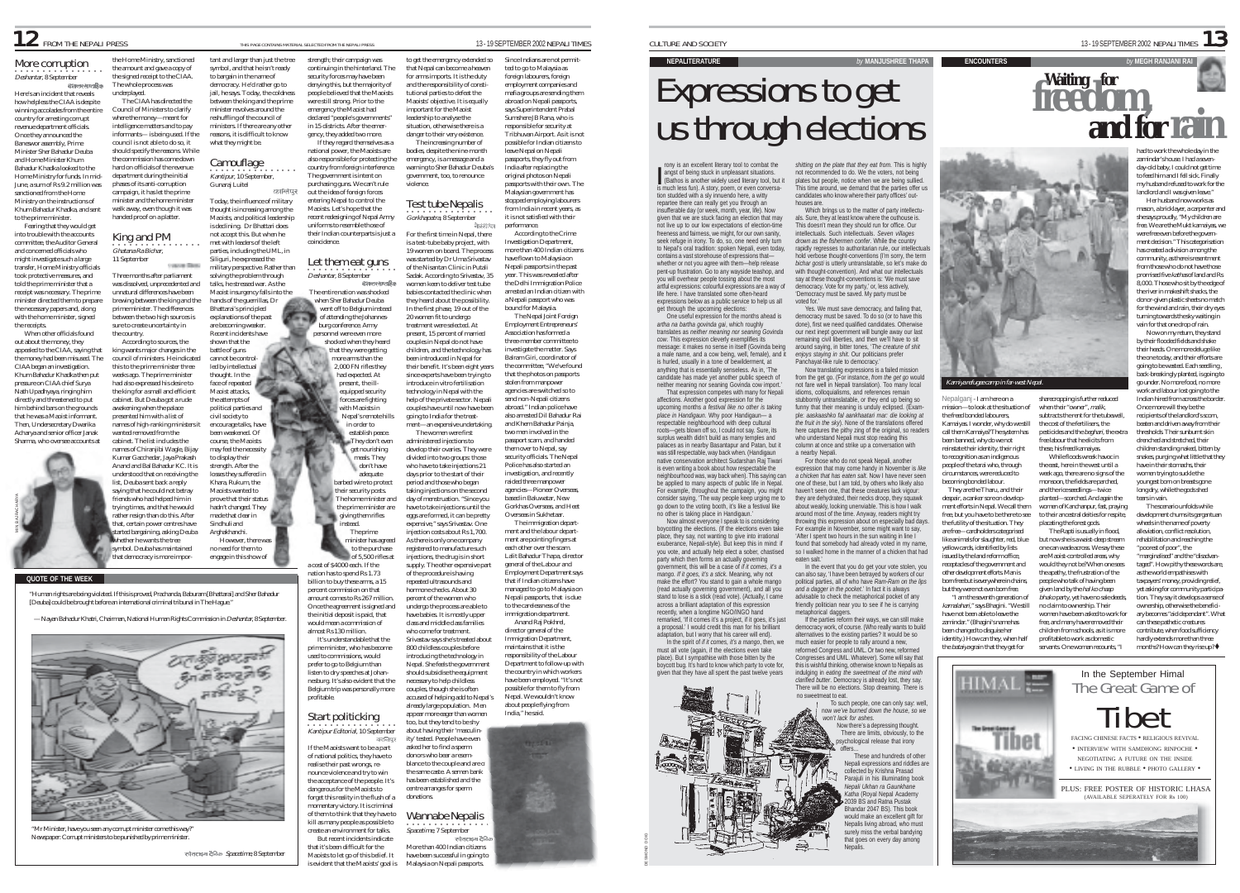### **12** FROM THE NEPALI PRESS THIS PAGE CONTAINS MATERIAL SECTED FROM THE NEPALI PRESS 13 - 19 SEPTEMBER 2002 NEPALI TIMES

More corruption **Deshantar, 8 September** the Home Ministry, sanctioned the amount and gave a copy of the signed receipt to the CIAA. The whole process was

The CIAA has directed the

According to sources, the king wants major changes in the council of ministers. He indicated

o successibilities.

cabinet. The list includes the

list, Deuba sent back a reply

Here's an incident that reveals how helpless the CIAA is despite winning accolades from the entire country for arresting corrupt revenue department officials. Once they announced the Baneswor assembly, Prime Minister Sher Bahadur Deuba and Home Minister Khum Bahadur Khadka looked to the Home Ministry for funds. In mid-June, a sum of Rs 9.2 million was sanctioned from the Home Ministry on the instructions of Khum Bahadur Khadka, and sent underplayed. Council of Ministers to clarify where the money—meant for intelligence matters and to pay informants— is being used. If the council is not able to do so, it should specify the reasons. While the commission has come down hard on officials of the revenue department during the initial phases of its anti-corruption campaign, it has let the prime minister and the home minister walk away, even though it was

to the prime minister. Fearing that they would get into trouble with the accounts committee, the Auditor General and concerned officials who might investigate such a large transfer, Home Ministry officials took protective measures, and told the prime minister that a receipt was necessary. The prime minister directed them to prepare the necessary papers and, along with the home minister, signed the receipts. handed proof on a platter. ○○○○○○○○○○○○○○○○ Ghatana Ra Bichar, King and PM 11 September Three months after parliament was dissolved, unprecedented and unnatural differences have been brewing between the king and the prime minister. The differences between the two high sources is sure to create uncertainty in

When other officials found out about the money, they appealed to the CIAA, saying that the money had been misused. The CIAA began an investigation. Khum Bahadur Khadka then put pressure on CIAA chief Surya Nath Upadhyaya, ringing him directly and threatened to put him behind bars on the grounds that he was a Maoist informant. Then, Undersecretary Dwarika Acharya and senior officer Janak the country. this to the prime minister three weeks ago. The prime minister had also expressed his desire to the king for a small and efficient cabinet. But Deuba got a rude awakening when the palace presented him with a list of wanted removed from the



Sharma, who oversee accounts at

**QUOTE OF THE WEEK**

"Human rights are being violated. If this is proved, Prachanda, Baburam [Bhattarai] and Sher Bahadur [Deuba] could be brought before an international criminal tribunal in The Hague."

— Nayan Bahadur Khatri, Chairman, National Human Rights Commission in Deshantar, 8 September.



"Mr Minister, have you seen any corrupt minister come this way?" Newspaper: Corrupt ministers to be punished by prime ministe

स्पेसराइम देनिक Spacetime, 8 September

tant and larger than just the tree symbol, and that he isn't ready to bargain in the name of democracy. He'd rather go to jail, he says. Today, the coldness between the king and the prime minister revolves around the reshuffling of the council of ministers. If there are any other reasons, it is difficult to know what they might be. strength; their campaign was continuing in the hinterland. The security forces may have been emergency the Maoist had

**Camouflage** ••••••••••••••••••••••••••••••<br>Kantipur, 10 September, Gunaraj Luitel कालिपर Today, the influence of military

thought is increasing among the Maoists, and political leadership is declining. Dr Bhattari does not accept this. But when he met with leaders of the left parties, including the UML, in Siliguri, he expressed the

solving the problem through talks, he stressed war. As the Maoist insurgency falls into the hands of the guerrillas, Dr Bhattarai's principled

explanations of the past are becoming weaker. Recent incidents have shown that the battle of guns cannot be controlled by intellectual thought. In the face of repeated Maoist attacks, the attempts of

names of high-ranking ministers it names of Chiranjibi Wagle, Bijay Kumar Gacchedar, Jaya Prakash Anand and Bal Bahadur KC. It is understood that on receiving the civil society to encourage talks, have been weakened. Of course, the Maoists may feel the necessity to display their strength. After the losses they suffered in Khara, Rukum, the Maoists wanted to prove that their status hadn't changed. They made that clear in Sindhuli and Arghakhanchi.

no need for them to engage in this show of

saying that he could not betray friends who had helped him in trying times, and that he would rather resign than do this. After

tat democracy is more impor-

that, certain power centres have ed bargaining, asking Deuba whether he wants the tree symbol. Deuba has maintained However, there was



denying this, but the majority of people believed that the Maoists were still strong. Prior to the declared "people's governments in 15 districts. After the emergency, they added two more. If they regard themselves as a national power, the Maoists are also responsible for protecting the country from foreign interference. The government is intent on

purchasing guns. We can't rule out the idea of foreign forces entering Nepal to control the Maoists. Let's hope that the recent redesigning of Nepal Army

military perspective. Rather than uniforms to resemble those of their Indian counterparts is just a coincidence. **Deshantar, 8 September** Let them eat guns

The entire nation was shocked when Sher Bahadur Deuba went off to Belgium instead of attending the Johannes-

burg conference. Army personnel were even more

political parties and

minister has agreed to the purchase of 5,500 rifles at a cost of \$4000 each. If the nation has to spend Rs 1.73 billion to buy these arms, a 15 percent commission on that amount comes to Rs 267 million.

> have babies. It is mostly upper class and middle class families who come for treatment. 800 childless couples before introducing the technology in Once the agreement is signed and the initial deposit is paid, that would mean a commission of almost Rs 130 million. It's understandable that the prime minister, who has become used to commissions, would prefer to go to Belgium than listen to dry speeches at Johan-

shocked when they heard that they were getting more arms than the 2,000 FN rifles they had expected. At present, the ill-.<br>equipped security orces are fighting with Maoists in Nepal's remote hills in order to establish peace. They don't even get nourishing meals. The don't have adequate barbed wire to protect their security posts. The home minister and the prime minister are giving them rifles instead. The prime

should subsidise the equipment necessary to help childless couples, though she is often accused of helping add to Nepal's already large population. Men appear more eager than women nesburg. It's also evident that the Belgium trip was personally more profitable.

·<br>Kantipur Editorial, 10 September Start politicking

have been successful in going to Malaysia on Nepali passports. If the Maoists want to be a part of national politics, they have to realise their past wrongs, renounce violence and try to win the acceptance of the people. It's dangerous for the Maoists to forget this reality in the flush of a momentary victory. It is criminal of them to think that they have to kill as many people as possible to create an environment for talks. But recent incidents indicate that it's been difficult for the Manists to let go of this belief. It s evident that the Maoists' goal is

that Nepal can become a heaven for arms imports. It is the duty and the responsibility of consti tutional parties to defeat the Maoists' objective. It is equally important for the Maoist leadership to analyse the situation, otherwise there is a danger to their very existence. The increasing number of bodies, despite the nine-month emergency, is a message and a

government, too, to renounce violence. Test tube Nepalis

20 women fit to undergo

The women were first administered injections to

of the procedure is having repeated ultrasounds and hormone checks. About 30 percent of the women who

to get the emergency extended so warning to Sher Bahadur Deuba's Since Indians are not permitted to go to Malaysia as foreign labourers, foreign employment companies and mafia groups are sending them abroad on Nepali passports, says Superintendent Prabal Sumshere JB Rana, who is responsible for security at Tribhuvan Airport. As it is not possible for Indian citizens to leave Nepal on Nepali passports, they fly out from India after replacing the original photos on Nepali passports with their own. The Malaysian government has stopped employing labourers from India in recent years, as it is not satisfied with their

Gorkhapatra, 8 September For the first time in Nepal, there is a test-tube baby project, with 19 women on board. The process was started by Dr Uma Srivastav of the Nisantan Clinic in Putali Sadak. According to Srivastav, 35 women keen to deliver test tube babies contacted the clinic when they heard about the possibility. performance. According to the Crime Investigation Department, more than 400 Indian citizens have flown to Malaysia on Nepali passports in the past year. This was revealed after the Delhi Immigration Police arrested an Indian citizen with a Nepali passport who was bound for Malaysia.

In the first phase, 19 out of the treatment were selected. At present, 15 percent of married couples in Nepal do not have children, and the technology has been introduced in Nepal for their benefit. It's been eight years since experts have been trying to introduce in vitro fertilisation technology in Nepal with the help of the private sector. Nepali couples have until now have been going to India for the treat ment—an expensive undertaking. develop their ovaries. They were divided into two groups: those who have to take injections 21 days prior to the start of their period and those who began taking injections on the second day of menstruation. "Since you have to take injections until the eggs are formed, it can be pretty expensive," says Srivastav. One The Nepal Joint Foreign Employment Entrepreneur Association has formed a three-member committee to investigate the matter. Says Balram Giri, coordinator of the committee, "We've found that the photos on passports stolen from manpower agencies are switched so to send non-Nepali citizens abroad." Indian police have also arrested Dil Bahadur Rai and Khem Bahadur Painja, two men involved in the passport scam, and handed them over to Nepal, say security officials. The Nepal Police has also started an investigation, and recently raided three manpower agencies—Pioneer Overseas based in Baluwatar, New Gorkhas Overseas, and Heet Overseas in Sukhetaar.

njection costs about Rs 1,700. As there is only one company registered to manufacture such injections, the drug is in short supply. The other expensive part undergo the process are able to Srivastav says she's treated about Introducing the community. The immigration department and the labour department are pointing fingers at each other over the scam. Lalit Bahadur Thapa, director general of the Labour and Employment Department says that if Indian citizens have managed to go to Malaysia on Nepali passports, that is due to the carelessness of the immigration department. Anand Raj Pokhrel, director general of the Immigration Department maintains that it is the responsibility of the Labour Department to follow-up with the country in which workers have been employed. "It's not possible for them to fly from Nepal. We wouldn't know about people flying from India," he said.

too, but they tend to be shy about having their 'masculinity' tested. People have even asked her to find a sperm donors who bear a resemblance to the couple and are of the same caste. A semen bank has been established and the centre arranges for sperm donations. Wannabe Nepalis ○○○○○○○○○○○○○○○ Spacetime, 7 September More than 400 Indian citizens

**NEPALITERATURE** *by* **MANJUSHREE THAPA**

# Expressions to get us through elections

rony is an excellent literary tool to combat the angst of being stuck in unpleasant situations. (Bathos is another widely used literary tool, but it is much less fun). A story, poem, or even conversation studded with a sly innuendo here, a witty repartee there can really get you through an insufferable day (or week, month, year, life). Now given that we are stuck facing an election that may not live up to our low expectations of election-time freeness and fairness, we might, for our own sanity, seek refuge in irony. To do, so, one need only turn to Nepal's oral tradition: spoken Nepali, even today contains a vast storehouse of expressions that whether or not you agree with them—help release pent-up frustration. Go to any wayside teashop, and you will overhear people tossing about the most artful expressions: colourful expressions are a way of life here. I have translated some often-heard expressions below as a public service to help us all get through the upcoming elections: I

One useful expression for the months ahead is *artha na bartha govinda gai*, which roughly translates as *neither meaning nor seaning Govinda cow*. This expression cleverly exemplifies its message: it makes no sense in itself (Govinda being a male name, and a cow being, well, female), and it is hurled, usually in a tone of bewilderment, at anything that is essentially senseless. As in, 'The candidate has made yet another public speech of neither meaning nor seaning Govinda cow import.' That expression competes with many for Nepali

affections. Another good expression for the upcoming months *a festival like no other is taking place in Handigaun*. Why poor Handigaun— a respectable neighbourhood with deep cultural roots—gets blown off so, I could not say. Sure, its surplus wealth didn't build as many temples and palaces as in nearby Basantapur and Patan, but it was still respectable, way back when. (Handigaun native conservation architect Sudarshan Raj Tiwari is even writing a book about how respectable the neighbourhood was, way back when). This saying can be applied to many aspects of public life in Nepal. For example, throughout the campaign, you might<br>consider saving 'The way people keep urging me to consider saying, 'The way people keep go down to the voting booth, it's like a festival like no other is taking place in Handigaun. Now almost everyone I speak to is considering boycotting the elections. (If the elections even take

place, they say, not wanting to give into irrational exuberance, Nepali-style). But keep this in mind: if you vote, and actually help elect a sober, chastised party which then forms an actually governing government, this will be a case of *if it comes, it's a mango. If it goes, it's a stick*. Meaning, why not make the effort? You stand to gain a whole mango (read actually governing government), and all you stand to lose is a stick (read vote). (Actually, I came across a brilliant adaptation of this expression recently, when a longtime NGO/INGO hand remarked. 'If it comes it's a project, if it goes, it's just a proposal.' I would credit this man for his brilliant

adaptation, but I worry that his career will end). In the spirit of *if it comes, it's a mango*, then, we must all vote (again, if the elections even take place). But I sympathise with those bitten by the boycott bug. It's hard to know which party to vote for, given that they have all spent the past twelve years

DIG GNOND DIG

*shitting on the plate that they eat from*. This is highly not recommended to do. We the voters, not being plates but people, notice when we are being sullied. This time around, we demand that the parties offer us candidates who know where their party offices' outhouses are.

CULTURE AND SOCIETY  $\frac{1}{3}$ 

**ENCOUNTERS** 

Which brings us to the matter of party intellectuals. Sure, they at least know where the outhouse is. This doesn't mean they should run for office. Our intellectuals. Such intellectuals. *Seven villages drown as the fishermen confer*. While the country rapidly regresses to authoritarian rule, our intellectuals hold verbose thought-conventions (I'm sorry, the term *bichar gosti* is utterly untranslatable, so let's make do with thought-convention). And what our intellectuals say at these thought-conventions is: 'We must save democracy. Vote for my party,' or, less actively 'Democracy must be saved. My party must be voted for.'

Yes. We must save democracy, and failing that, democracy must be saved. To do so (or to have this done), first we need qualified candidates. Otherwise our next inept government will bungle away our last remaining civil liberties, and then we'll have to sit around saying, in bitter tones, '*The creature of shit enjoys staying in shit*. Our politicians prefer Panchayat-like rule to democracy.'

Now translating expressions is a failed mission from the get go. (For instance, *from the get go* would not fare well in Nepali translation). Too many local idioms, colloquialisms, and references remain

stubbornly untranslatable, or they end up being so funny that their meaning is unduly eclipsed. (Example: *aaskaashko fal aankhaatari mar: die looking at the fruit in the sky*). None of the translations offered here captures the pithy zing of the original, so readers who understand Nepali must stop reading this column at once and strike up a conversation with a nearby Nepali.

For those who do not speak Nepali, another expression that may come handy in November is *like a chicken that has eaten salt*. Now I have never seen one of these, but I am told, by others who likely also haven't seen one, that these creatures lack vigour: they are dehydrated, their necks droop, they squawk about weakly, looking unenviable. This is how I walk around most of the time. Anyway, readers might try trowing this expression about on especially bad days For example in November, some might want to say, 'After I spent two hours in the sun waiting in line I found that somebody had already voted in my name so I walked home in the manner of a chicken that had

> eaten salt.' In the event that you do get your vote stolen, you can also say, 'I have been betrayed by workers of our political parties, all of who have *Ram-Ram on the lips and a dagger in the pocket*.' In fact it is always advisable to check the metaphorical pocket of any

friendly politician near you to see if he is carrying horical daggers. If the parties reform their ways, we can still make mocracy work, of course. (Who really wants to build alternatives to the existing parties? It would be so much easier for people to rally around a new, reformed Congress and UML. Or two new, reformed Congresses and UML. Whatever). Some will say that this is wishful thinking, otherwise known to Nepalis as indulging in *eating the sweetmeat of the mind with clarified butter*. Democracy is already lost, they say.

There will be no elections. Stop dreaming. There is no sweetmeat to eat. To such people, one can only say: well, now *we've burned down the house, so we won't lack for ashes*. Now there's a depressing thought. There are limits, obviously, to the

chological release that irony offers… ...<br>These and hundreds of other Nepali expressions and riddles are collected by Krishna Prasad Parajuli in his illuminating book *Nepali Ukhan ra Gaunkhane Katha* (Royal Nepal Academy 2039 BS and Ratna Pustak dar 2047 BS). This book would make an excellent gift for Nepalis living abroad, who must surely miss the verbal bandying that goes on every day among Nepalis.



Nepalganj - I am here on a mission—to look at the situation of the freed bonded labourers, Kamaiyas. I wonder, why do we still call them Kamaiya? The system has been banned, why do we not reinstate their identity, their right to recognition as an indigenous people of the tarai who, through circumstances, were reduced to becoming bonded labour. They are the Tharu, and their despair, a canker sore on development efforts in Nepal. We call them sharecropping is further reduced when their "owner", malik

> The Rapti is usually in flood, but now she is a waist-deep stream one can wade across. We say these are Maoist-controlled areas, why would they not be? When one sees the apathy, the frustration of the people who talk of having been given land by the hal ko chaap bhako party, yet have no sale deeds,











While floods wreak havoc in the east, here in the west until a week ago, there are no signs of the monsoon, the fields are parched, and the rice seedlings—twice planted—scorched. And again the women of Kanchanpur, fast, praying

**Waiting for freedom,**

had to work the whole day in the zamindar's house. I had a sevenday-old baby, I could not get time to feed him and I fell sick. Finally my husband refused to work for the landlord and I was given leave." Her husband now works as mason, a bricklayer, a carpenter and she says proudly, "My children are free. We are the Mukt kamaiyas, we were free even before the government decision." This categorisation has created a division among the community, as there is resentment from those who do not have those promised five kathas of land and Rs 8,000. Those who sit by the edge of the river in makeshift shacks, the donor-given plastic sheets no match for the wind and rain, their dry eyes turning towards the sky waiting in vain for that one drop of rain. Now on my return, they stand by their flooded fields and shake their heads. One more deluge like the one today, and their efforts are going to be wasted. Each seedling , back-breakingly planted, is going to go under. No more food, no more work and labour lost going to the Indian hired from across the border. Once more will they be the recipients of the landlord's scorn beaten and driven away from their thresholds. Their sunburnt skin drenched and stretched, their children standing naked, bitten by snakes, purging what little that they have in their stomachs, their women trying to suckle the youngest born on breasts gone long dry, while the gods shed tears in vain. The scenario unfolds while

to their ancestral deities for respite, development churns its gargantuan wheels in the name of poverty alleviation, conflict resolution,

no claim to ownership. Their women have been asked to work for free, and many have removed their

rehabilitation and reaching the "poorest of poor", the "marginalised" and the "disadvantaged". How pithy these words are, as the world empathises with taxpayers' money, providing relief, yet asking for community participation. They say it develops a sense of

ownership, otherwise the beneficiary becomes "aid dependant". What can these pathetic creatures contribute, when food sufficiency

hardly extends more than three months? How can they rise  $\sin^2 \phi$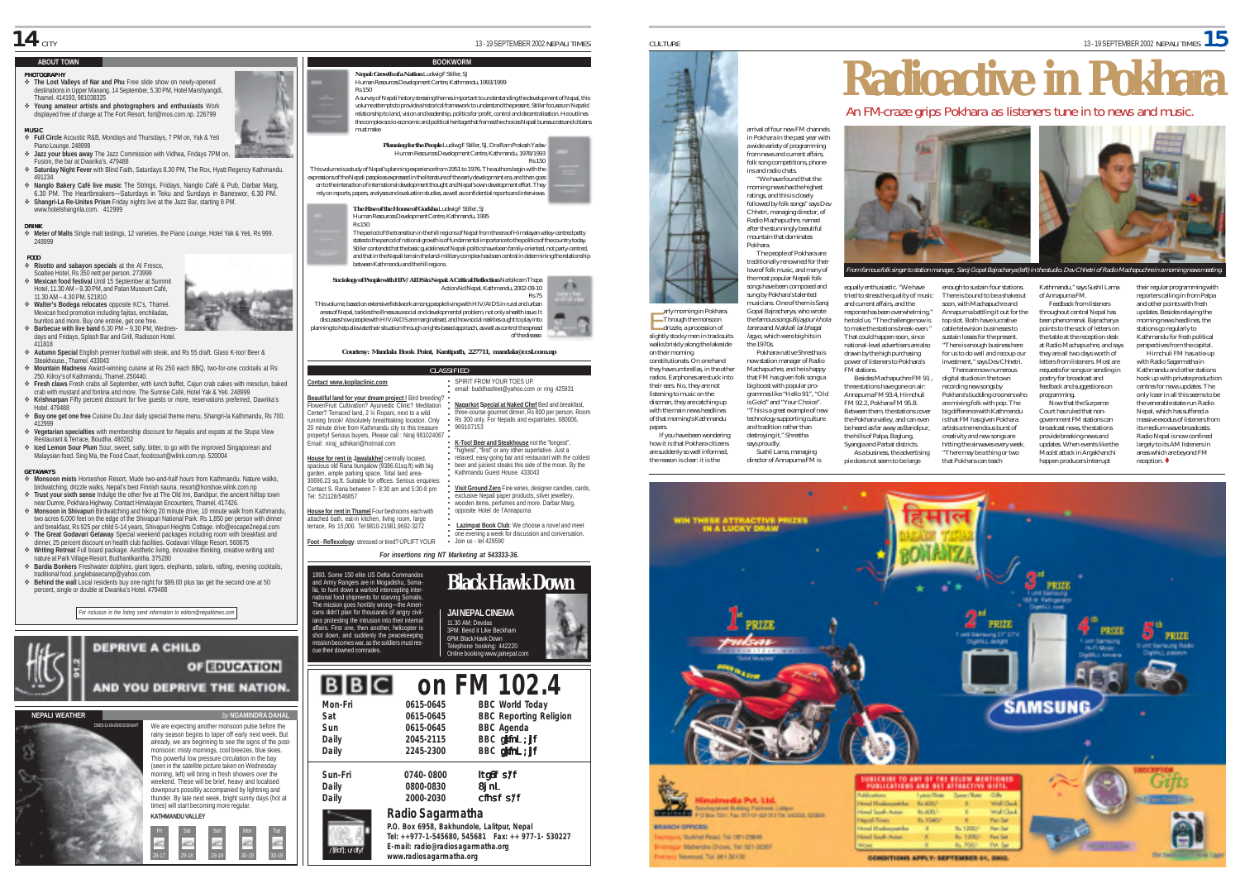### **ABOUT TOWN**

### PHOTOGRAPHY

- % **The Lost Valleys of Nar and Phu** Free slide show on newly-opened destinations in Upper Manang. 14 September, 5.30 PM, Hotel Marshyangdi, Thamel. 414193, 981038325
- % **Young amateur artists and photographers and enthusiasts** Work displayed free of charge at The Fort Resort, fort@mos.com.np. 226799

### MUSIC % **Full Circle** Acoustic R&B, Mondays and Thursdays, 7 PM on, Yak & Yeti

Piano Lounge. 248999 % **Jazz your blues away** The Jazz Commission with Vidhea, Fridays 7PM on, Fusion, the bar at Dwarika's. 479488

- % **Saturday Night Fever** with Blind Faith, Saturdays 8.30 PM, The Rox, Hyatt Regency Kathmandu. 491234
- % **Nanglo Bakery Café live music** The Strings, Fridays, Nanglo Café & Pub, Darbar Marg, 6.30 PM. The Heartbreakers—Saturdays in Teku and Sundays in Baneswor, 6.30 PM. % **Shangri-La Re-Unites Prism** Friday nights live at the Jazz Bar, starting 8 PM.
- www.hotelshangrila.com. 412999

DRINK FOOD

% **Meter of Malts** Single malt tastings, 12 varieties, the Piano Lounge, Hotel Yak & Yeti, Rs 999. 248999

### % **Risotto and sabayon specials** at the Al Fresco,

- Soaltee Hotel, Rs 350 nett per person. 273999 % **Mexican food festival** Until 15 September at Summit Hotel, 11.30 AM – 9.30 PM, and Patan Museum Café,
- 11.30 AM 4.30 PM. 521810 % **Walter's Bodega relocates** opposite KC's, Thamel. Mexican food promotion including fajitas, enchiladas, burritos and more. Buy one entrée, get one free.
- % **Barbecue with live band** 6.30 PM 9.30 PM, Wednesdays and Fridays, Splash Bar and Grill, Radisson Hotel. 411818
- % **Autumn Special** English premier football with steak, and Rs 55 draft. Glass K-too! Beer & Steakhouse., Thamel. 433043
- % **Mountain Madness** Award-winning cuisine at Rs 250 each BBQ, two-for-one cocktails at Rs 250. Kilroy's of Kathmandu, Thamel. 250440.
- % **Fresh claws** Fresh crabs all September, with lunch buffet, Cajun crab cakes with mesclun, baked crab with mustard and fontina and more. The Sunrise Café, Hotel Yak & Yeti. 248999 % **Krishnarpan** Fifty percent discount for five guests or more, reservations preferred, Dawrika's
- Hotel. 479488 % **Buy one get one free** Cuisine Du Jour daily special theme menu, Shangri-la Kathmandu, Rs 700.
- 412999 % **Vegetarian specialties** with membership discount for Nepalis and expats at the Stupa View
- Restaurant & Terrace, Boudha. 480262
- % **Iced Lemon Sour Plum** Sour, sweet, salty, bitter, to go with the improved Singaporean and Malaysian food. Sing Ma, the Food Court, foodcourt@wlink.com.np. 520004

### GETAWAYS

- % **Monsoon mists** Horseshoe Resort, Mude two-and-half hours from Kathmandu. Nature walks, birdwatching, drizzle walks, Nepal's best Finnish sauna. resort@horshoe.wlink.com.np % **Trust your sixth sense** Indulge the other five at The Old Inn, Bandipur, the ancient hilltop town
- near Dumre, Pokhara Highway. Contact Himalayan Encounters, Thamel, 417426. % **Monsoon in Shivapuri** Birdwatching and hiking 20 minute drive, 10 minute walk from Kathmandu,
- two acres 6,000 feet on the edge of the Shivapuri National Park. Rs 1,850 per person with dinner and breakfast, Rs 925 per child 5-14 years, Shivapuri Heights Cottage. info@escape2nepal.com
- % **The Great Godavari Getaway** Special weekend packages including room with breakfast and dinner, 25 percent discount on health club facilities. Godavari Village Resort. 560675
- % **Writing Retreat** Full board package. Aesthetic living, innovative thinking, creative writing and nature at Park Village Resort, Budhanilkantha. 375280
- % **Bardia Bonkers** Freshwater dolphins, giant tigers, elephants, safaris, rafting, evening cocktails, traditional food. junglebasecamp@yahoo.com.
- % **Behind the wall** Local residents buy one night for \$99.00 plus tax get the second one at 50 percent, single or double at Dwarika's Hotel. 479488

*For inclusion in the listing send information to editors@nepalitimes.com*

**DEPRIVE A CHILD** 

**KATHMANDU VALLEY**

Fri Sat Sun Mon Tue 28-17 29-18 29-19 30-19 30-19

& & && &&

We are expecting another monsoon pulse before the rainy season begins to taper off early next week. But already, we are beginning to see the signs of the postmonsoon: misty mornings, cool breezes, blue skies. This powerful low pressure circulation in the bay (seen in the satellite picture taken on Wednesday morning, left) will bring in fresh showers over the weekend. These will be brief, heavy and localised downpours possibly accompanied by lightning and thunder. By late next week, bright sunny days (hot at

AND YOU DEPRIVE THE NATION.

**OT EDUCATION** 

DSES-11-09-2002 02:00 GMT

**NEPALI WEATHER** 



Human Resources Development Centre, Kathmandu, 1993/1999

A survey of Nepali history stressing themes important to understanding the development of Nepal, this volume attempts to provide a historical framework to understand the present. Stiller focuses on Nepalis' relationship to land, vision and leadership, politics for profit, control and decentralisation. He outlines the complex socio-economic and political heritage that frames the choices Nepali bureaucrats and citizens must make.

**Planning for the People** Ludiwg F Stiller, SJ, Dra Ram Prakash Yadav Human Resources Development Centre, Kathmandu, 1978/1993 Rs 150

**BOOKWORM** 



**The Rise of the House of Gorkha** Ludwig F Stiller, SJ Human Resources Development Centre, Kathmandu, 1995 Rs 150

The period of the transition in the hill regions of Nepal from the era of Himalayan valley-centred petty states to the period of national growth is of fundamental importance to the politics of the country today. Stiller contends that the basic guidelines of Nepali politics have been family-oriented, not party-centred, and that in the Nepali terrain the land-military complex has been central in determining the relationship between Kathmandu and the hill regions.

### **Sociology of People with HIV/AIDS in Nepal: A Critical Reflection** Narbikram Thapa ActionAid Nepal, Kathmandu, 2002-09-10 Rs 75 This volume, based on extensive fieldwork among people living with HIV/AIDS in rural and urban

areas of Nepal, tackles the illness as a social and developmental problem, not only a health issue. It discusses how people with HIV/AIDS are marginalised, and how social realities ought to play into planning to help alleviate their situation through a rights-based approach, as well as control the spread of the disease.

### *Courtesy: Mandala Book Point, Kantipath, 227711, mandala@ccsl.com.np*

**CLASSIFIED Contact www.kopilaclinic.com** SPIRIT FROM YOUR TOES UP.<br>Amail: buddhasfeet@vaboo.com.or.ring.425931 email: buddhasfeet@ya

### **Beautiful land for your dream project !** Bird breeding?

○○○○○○○○○○○○○○○○○○○ Flower/Fruit Cultivation? Ayurvedic Clinic? Meditation Center? Terraced land, 2 ½ Ropani, next to a wild running brook! Absolutely breathtaking location. Only 20 minute drive from Kathmandu city to this treasure property**!** Serious buyers, Please call : Niraj 981024067 Email: niraj\_adhikari@hotmail.com \* 969107153

**House for rent in Jawalakhel** centrally located, spacious old Rana bungalow (9386.61sq.ft) with big garden, ample parking space. Total land area-30690.23 sq.ft. Suitable for offices. Serious enquiries: Contact S. Rana between 7- 8:30 am and 5:30-8 pm Tel: 521128/546857

**House for rent in Thamel** Four bedrooms each with attached bath, eat-in kitchen, living room, large terrace, Rs 15,000. Tel:9810-21981,9692-3272

**Foot - Reflexology**: stressed or tired? UPLIFT YOUR

### *For insertions ring NT Marketing at 543333-36.*

Join us - tel 429590

○○○○○○○○○○○

1993. Some 150 elite US Delta Commandos and Army Rangers are in Mogadishu, Somalia, to hunt down a warlord intercepting inter-national food shipments for starving Somalis. The mission goes horribly wrong—the Ameri-cans didn't plan for thousands of angry civilians protesting the intrusion into their internal affairs. First one, then another, helicopter is shot down, and suddenly the peacekeeping omes war, as the soldiers must res cue their downed comrades.



**Nagarkot Special at Naked Chef** Bed and breakfast, three-course gourmet dinner, Rs 800 per person. Room Rs 300 only. For Nepalis and expatriates. 680006,

 $X$ ▬

**K-Too! Beer and Steakhouse** not the "longest", "highest", "first" or any other superlative. Just a relaxed, easy-going bar and restaurant with the coldest beer and juiciest steaks this side of the moon. By the Kathmandu Guest House. 433043 **Visit Ground Zero** Fine wines, designer candles, cards, exclusive Nepali paper products, silver jewellery, wooden items, perfumes and more. Darbar Marg opposite Hotel de l'Annapurna **Lazimpat Book Club**: We choose a novel and meet one evening a week for discussion and conversation.

### **BBC on FM 102.4 Mon-Fri 0615-0645 BBC World Today**

| Sat     | 0615-0645 | <b>BBC Reporting Religion</b> |
|---------|-----------|-------------------------------|
| Sun     | 0615-0645 | <b>BBC</b> Agenda             |
| Daily   | 2045-2115 | BBC gkfnl; ]f                 |
| Daily   | 2245-2300 | BBC gkfnl ; ]f                |
| Sun-Fri | 0740-0800 | ltgóf s/f                     |
| Daily   | 0800-0830 | 8 jn L                        |
| Daily   | 2000-2030 | cfhsf s/f                     |
|         |           |                               |

### Radio Sagarmatha

**P.O. Box 6958, Bakhundole, Lalitpur, Nepal Tel: ++977-1-545680, 545681 Fax: ++ 977-1- 530227 E-mail: radio@radiosagarmatha.org www.radiosagarmatha.org** /**]**8of]; u/dfyf



arrival of four new FM channels in Pokhara in the past year with a wide variety of programming from news and current affairs folk song competitions, phone-ins and radio chats. "We have found that the morning news has the highest ratings, and this is closely followed by folk songs" says Dev Chhetri, managing director, of Radio Machapuchre, named

after the stunningly beautiful mountain that dominates Pokhara. The people of Pokhara are traditionally renowned for their love of folk music, and many of

the most popular Nepali folk songs have been composed and sung by Pokhara's talented

musicians. One of them is Saroj Gopal Bajracharya, who wrote the famous songs Bijaypur khola tarera and Nakkali lai bhagai lagyo, which were big hits in the 1970s. Pokhara-native Shrestha is now station manager of Radio Machapuchre, and he is happy

are suddenly so well informed, the reason is clear: it is the that FM has given folk songs a big boost with popular programmes like "Hello 91", "Old is Gold" and "Your Choice". says proudly.

and tradition rather than destroying it," Shrestha Sushil Lama, managing director of Annapurna FM is



n famous folk singer to station manager, Saroj Gopal Bajracharya (left) in the studio. Dev Chhetri of Radio Machapuchre in a morning ne

equally enthusiastic. "We have tried to stress the quality of music and current affairs, and the response has been overwhelming. he told us. "The challenge now is to make the stations break-even." That could happen soon, since national-level advertisers are also drawn by the high purchasing power of listeners to Pokhara's FM stations. Besides Machapuchre FM 91 enough to sustain four stations. There is bound to be a shakeout soon, with Machapuchre and Annapurna battling it out for the top slot. Both have lucrative cable television businesses to sustain losses for the present. "There is enough business here for us to do well and recoup our

three stations have gone on air: Annapurna FM 93.4, Himchuli As a business, the advertising

of Annapurna FM. Feedback from listeners throughout central Nepal has been phenomenal. Bajracharya points to the sack of letters on the table at the reception desk at Radio Machapuchre, and says they are all two days worth of letters from listeners. Most are poetry for broadcast and programming.

Kathmandu," says Sushil Lama

### investment," says Dev Chhetri. There are now numerous digital studios in the town recording new songs by Pokhara's budding crooners who are mixing folk with pop. The big difference with Kathmandu is that FM has given Pokhara artists a tremendous burst of creativity and new songs are hitting the airwaves every week. "There may be a thing or two that Pokhara can teach requests for songs or sending in feedback and suggestions on Now that the Surpeme Court has ruled that nongovernment FM stations can broadcast news, the stations provide breaking news and happen producers interrupt

and other points with fresh updates. Besides relaying the morning news headlines, the stations go regularly to Kathmandu for fresh political perspectives from the capital. Himchuli FM has a tie-up with Radio Sagarmatha in Kathmandu and other stations hook up with private production centres for news updates. The only loser in all this seems to be the venerable state-run Radio Nepal, which has suffered a massive exodus of listeners from its medium wave broadcasts. Radio Nepal is now confined largely to its AM listeners in areas which are beyond FM

reception.  $\blacklozenge$ 

their regular programming with reporters calling in from Palpa



updates. When events like the Maoist attack in Argakhanchi

**SAMSUNG** 



### UBLEBIBI TO ART OF THE BELD<br>PUBLICATIONS AND OLT ATTRA **Hotel Hydensonichs** By (003) \$1,000 **Innal South Autom** Nepoli Times **B.1040 Great Graduary and La**

**Sunnet Read, Tel: Off EDB-MI** Materials Drive, Tel: 021-32307 Newmark Tal 161-30130



### CULTURE  $\overline{13 \cdot 19}$  SEPTEMBER 2002 NEPALI TIMES  $\overline{15}$



An FM-craze grips Pokhara as listeners tune in to news and music.